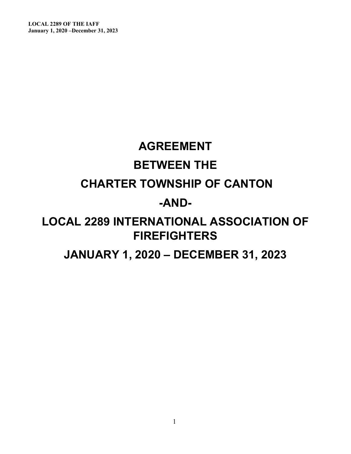**LOCAL 2289 OF THE IAFF January 1, 2020 –December 31, 2023** 

# **AGREEMENT BETWEEN THE CHARTER TOWNSHIP OF CANTON -AND-LOCAL 2289 INTERNATIONAL ASSOCIATION OF FIREFIGHTERS JANUARY 1, 2020 – DECEMBER 31, 2023**

1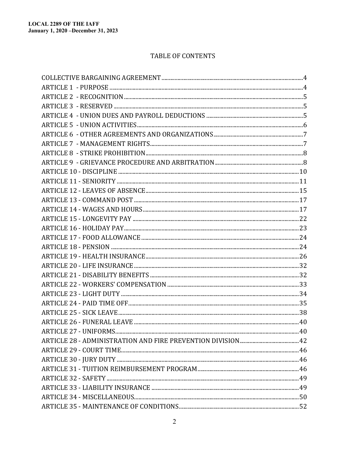#### TABLE OF CONTENTS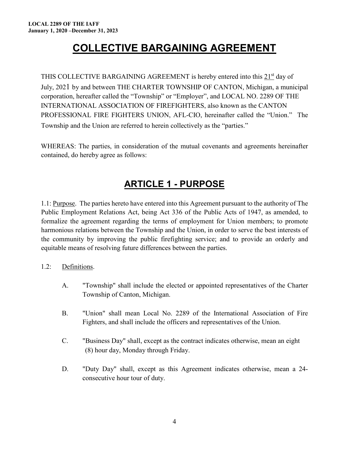# **COLLECTIVE BARGAINING AGREEMENT**

<span id="page-3-0"></span>THIS COLLECTIVE BARGAINING AGREEMENT is hereby entered into this 21<sup>st</sup> day of July, 2021 by and between THE CHARTER TOWNSHIP OF CANTON, Michigan, a municipal corporation, hereafter called the "Township" or "Employer", and LOCAL NO. 2289 OF THE INTERNATIONAL ASSOCIATION OF FIREFIGHTERS, also known as the CANTON PROFESSIONAL FIRE FIGHTERS UNION, AFL-CIO, hereinafter called the "Union." The Township and the Union are referred to herein collectively as the "parties."

WHEREAS: The parties, in consideration of the mutual covenants and agreements hereinafter contained, do hereby agree as follows:

### **ARTICLE 1 - PURPOSE**

<span id="page-3-1"></span>1.1: Purpose. The parties hereto have entered into this Agreement pursuant to the authority of The Public Employment Relations Act, being Act 336 of the Public Acts of 1947, as amended, to formalize the agreement regarding the terms of employment for Union members; to promote harmonious relations between the Township and the Union, in order to serve the best interests of the community by improving the public firefighting service; and to provide an orderly and equitable means of resolving future differences between the parties.

1.2: Definitions.

- A. "Township" shall include the elected or appointed representatives of the Charter Township of Canton, Michigan.
- B. "Union" shall mean Local No. 2289 of the International Association of Fire Fighters, and shall include the officers and representatives of the Union.
- C. "Business Day" shall, except as the contract indicates otherwise, mean an eight (8) hour day, Monday through Friday.
- D. "Duty Day" shall, except as this Agreement indicates otherwise, mean a 24 consecutive hour tour of duty.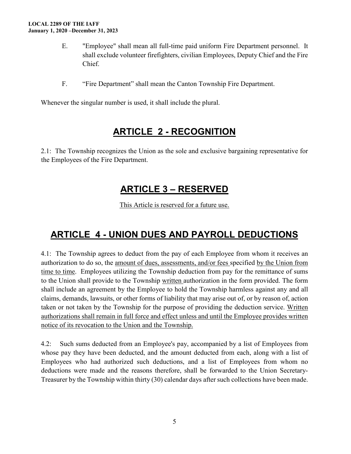- E. "Employee" shall mean all full-time paid uniform Fire Department personnel. It shall exclude volunteer firefighters, civilian Employees, Deputy Chief and the Fire Chief.
- F. "Fire Department" shall mean the Canton Township Fire Department.

Whenever the singular number is used, it shall include the plural.

### **ARTICLE 2 - RECOGNITION**

<span id="page-4-1"></span><span id="page-4-0"></span>2.1: The Township recognizes the Union as the sole and exclusive bargaining representative for the Employees of the Fire Department.

### **ARTICLE 3 – RESERVED**

This Article is reserved for a future use.

### <span id="page-4-2"></span>**ARTICLE 4 - UNION DUES AND PAYROLL DEDUCTIONS**

4.1: The Township agrees to deduct from the pay of each Employee from whom it receives an authorization to do so, the amount of dues, assessments, and/or fees specified by the Union from time to time. Employees utilizing the Township deduction from pay for the remittance of sums to the Union shall provide to the Township written authorization in the form provided. The form shall include an agreement by the Employee to hold the Township harmless against any and all claims, demands, lawsuits, or other forms of liability that may arise out of, or by reason of, action taken or not taken by the Township for the purpose of providing the deduction service. Written authorizations shall remain in full force and effect unless and until the Employee provides written notice of its revocation to the Union and the Township.

4.2: Such sums deducted from an Employee's pay, accompanied by a list of Employees from whose pay they have been deducted, and the amount deducted from each, along with a list of Employees who had authorized such deductions, and a list of Employees from whom no deductions were made and the reasons therefore, shall be forwarded to the Union Secretary-Treasurer by the Township within thirty (30) calendar days after such collections have been made.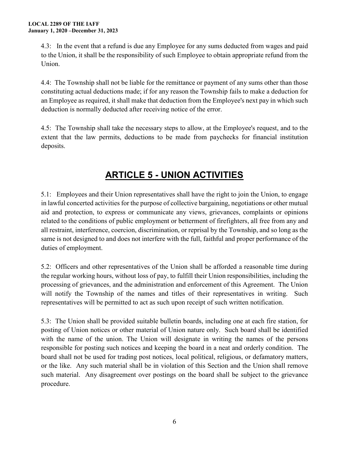4.3: In the event that a refund is due any Employee for any sums deducted from wages and paid to the Union, it shall be the responsibility of such Employee to obtain appropriate refund from the Union.

4.4: The Township shall not be liable for the remittance or payment of any sums other than those constituting actual deductions made; if for any reason the Township fails to make a deduction for an Employee as required, it shall make that deduction from the Employee's next pay in which such deduction is normally deducted after receiving notice of the error.

4.5: The Township shall take the necessary steps to allow, at the Employee's request, and to the extent that the law permits, deductions to be made from paychecks for financial institution deposits.

# **ARTICLE 5 - UNION ACTIVITIES**

<span id="page-5-0"></span>5.1: Employees and their Union representatives shall have the right to join the Union, to engage in lawful concerted activities for the purpose of collective bargaining, negotiations or other mutual aid and protection, to express or communicate any views, grievances, complaints or opinions related to the conditions of public employment or betterment of firefighters, all free from any and all restraint, interference, coercion, discrimination, or reprisal by the Township, and so long as the same is not designed to and does not interfere with the full, faithful and proper performance of the duties of employment.

5.2: Officers and other representatives of the Union shall be afforded a reasonable time during the regular working hours, without loss of pay, to fulfill their Union responsibilities, including the processing of grievances, and the administration and enforcement of this Agreement. The Union will notify the Township of the names and titles of their representatives in writing. Such representatives will be permitted to act as such upon receipt of such written notification.

5.3: The Union shall be provided suitable bulletin boards, including one at each fire station, for posting of Union notices or other material of Union nature only. Such board shall be identified with the name of the union. The Union will designate in writing the names of the persons responsible for posting such notices and keeping the board in a neat and orderly condition. The board shall not be used for trading post notices, local political, religious, or defamatory matters, or the like. Any such material shall be in violation of this Section and the Union shall remove such material. Any disagreement over postings on the board shall be subject to the grievance procedure.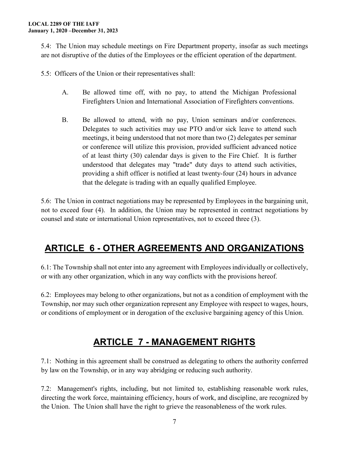5.4: The Union may schedule meetings on Fire Department property, insofar as such meetings are not disruptive of the duties of the Employees or the efficient operation of the department.

5.5: Officers of the Union or their representatives shall:

- A. Be allowed time off, with no pay, to attend the Michigan Professional Firefighters Union and International Association of Firefighters conventions.
- B. Be allowed to attend, with no pay, Union seminars and/or conferences. Delegates to such activities may use PTO and/or sick leave to attend such meetings, it being understood that not more than two (2) delegates per seminar or conference will utilize this provision, provided sufficient advanced notice of at least thirty (30) calendar days is given to the Fire Chief. It is further understood that delegates may "trade" duty days to attend such activities, providing a shift officer is notified at least twenty-four (24) hours in advance that the delegate is trading with an equally qualified Employee.

5.6: The Union in contract negotiations may be represented by Employees in the bargaining unit, not to exceed four (4). In addition, the Union may be represented in contract negotiations by counsel and state or international Union representatives, not to exceed three (3).

# <span id="page-6-0"></span>**ARTICLE 6 - OTHER AGREEMENTS AND ORGANIZATIONS**

6.1: The Township shall not enter into any agreement with Employees individually or collectively, or with any other organization, which in any way conflicts with the provisions hereof.

6.2: Employees may belong to other organizations, but not as a condition of employment with the Township, nor may such other organization represent any Employee with respect to wages, hours, or conditions of employment or in derogation of the exclusive bargaining agency of this Union.

### **ARTICLE 7 - MANAGEMENT RIGHTS**

<span id="page-6-1"></span>7.1: Nothing in this agreement shall be construed as delegating to others the authority conferred by law on the Township, or in any way abridging or reducing such authority.

7.2: Management's rights, including, but not limited to, establishing reasonable work rules, directing the work force, maintaining efficiency, hours of work, and discipline, are recognized by the Union. The Union shall have the right to grieve the reasonableness of the work rules.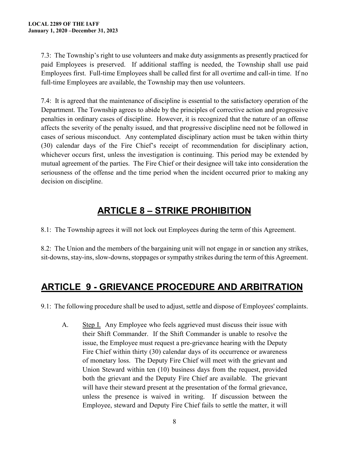7.3: The Township's right to use volunteers and make duty assignments as presently practiced for paid Employees is preserved. If additional staffing is needed, the Township shall use paid Employees first. Full-time Employees shall be called first for all overtime and call-in time. If no full-time Employees are available, the Township may then use volunteers.

7.4: It is agreed that the maintenance of discipline is essential to the satisfactory operation of the Department. The Township agrees to abide by the principles of corrective action and progressive penalties in ordinary cases of discipline. However, it is recognized that the nature of an offense affects the severity of the penalty issued, and that progressive discipline need not be followed in cases of serious misconduct. Any contemplated disciplinary action must be taken within thirty (30) calendar days of the Fire Chief's receipt of recommendation for disciplinary action, whichever occurs first, unless the investigation is continuing. This period may be extended by mutual agreement of the parties. The Fire Chief or their designee will take into consideration the seriousness of the offense and the time period when the incident occurred prior to making any decision on discipline.

### **ARTICLE 8 – STRIKE PROHIBITION**

<span id="page-7-0"></span>8.1: The Township agrees it will not lock out Employees during the term of this Agreement.

8.2: The Union and the members of the bargaining unit will not engage in or sanction any strikes, sit-downs, stay-ins, slow-downs, stoppages or sympathy strikes during the term of this Agreement.

### <span id="page-7-1"></span>**ARTICLE 9 - GRIEVANCE PROCEDURE AND ARBITRATION**

9.1: The following procedure shall be used to adjust, settle and dispose of Employees' complaints.

A. Step I. Any Employee who feels aggrieved must discuss their issue with their Shift Commander. If the Shift Commander is unable to resolve the issue, the Employee must request a pre-grievance hearing with the Deputy Fire Chief within thirty (30) calendar days of its occurrence or awareness of monetary loss. The Deputy Fire Chief will meet with the grievant and Union Steward within ten (10) business days from the request, provided both the grievant and the Deputy Fire Chief are available. The grievant will have their steward present at the presentation of the formal grievance, unless the presence is waived in writing. If discussion between the Employee, steward and Deputy Fire Chief fails to settle the matter, it will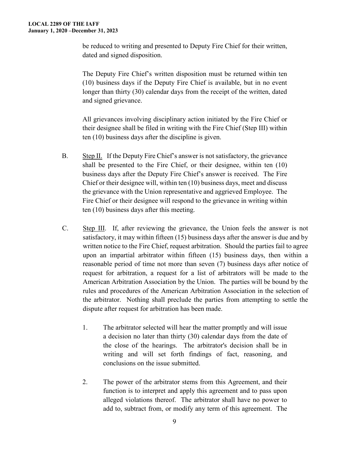be reduced to writing and presented to Deputy Fire Chief for their written, dated and signed disposition.

 The Deputy Fire Chief's written disposition must be returned within ten (10) business days if the Deputy Fire Chief is available, but in no event longer than thirty (30) calendar days from the receipt of the written, dated and signed grievance.

All grievances involving disciplinary action initiated by the Fire Chief or their designee shall be filed in writing with the Fire Chief (Step III) within ten (10) business days after the discipline is given.

- B. Step II. If the Deputy Fire Chief's answer is not satisfactory, the grievance shall be presented to the Fire Chief, or their designee, within ten (10) business days after the Deputy Fire Chief's answer is received. The Fire Chief or their designee will, within ten (10) business days, meet and discuss the grievance with the Union representative and aggrieved Employee. The Fire Chief or their designee will respond to the grievance in writing within ten (10) business days after this meeting.
- C. Step III. If, after reviewing the grievance, the Union feels the answer is not satisfactory, it may within fifteen (15) business days after the answer is due and by written notice to the Fire Chief, request arbitration. Should the parties fail to agree upon an impartial arbitrator within fifteen (15) business days, then within a reasonable period of time not more than seven (7) business days after notice of request for arbitration, a request for a list of arbitrators will be made to the American Arbitration Association by the Union. The parties will be bound by the rules and procedures of the American Arbitration Association in the selection of the arbitrator. Nothing shall preclude the parties from attempting to settle the dispute after request for arbitration has been made.
	- 1. The arbitrator selected will hear the matter promptly and will issue a decision no later than thirty (30) calendar days from the date of the close of the hearings. The arbitrator's decision shall be in writing and will set forth findings of fact, reasoning, and conclusions on the issue submitted.
	- 2. The power of the arbitrator stems from this Agreement, and their function is to interpret and apply this agreement and to pass upon alleged violations thereof. The arbitrator shall have no power to add to, subtract from, or modify any term of this agreement. The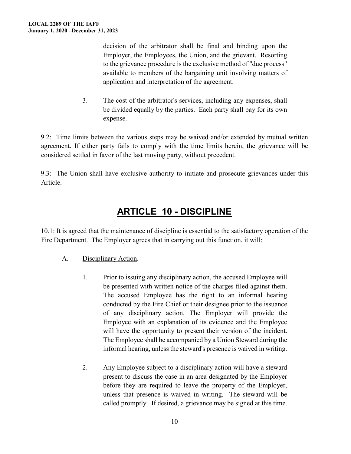decision of the arbitrator shall be final and binding upon the Employer, the Employees, the Union, and the grievant. Resorting to the grievance procedure is the exclusive method of "due process" available to members of the bargaining unit involving matters of application and interpretation of the agreement.

3. The cost of the arbitrator's services, including any expenses, shall be divided equally by the parties. Each party shall pay for its own expense.

9.2: Time limits between the various steps may be waived and/or extended by mutual written agreement. If either party fails to comply with the time limits herein, the grievance will be considered settled in favor of the last moving party, without precedent.

9.3: The Union shall have exclusive authority to initiate and prosecute grievances under this Article.

#### **ARTICLE 10 - DISCIPLINE**

<span id="page-9-0"></span>10.1: It is agreed that the maintenance of discipline is essential to the satisfactory operation of the Fire Department. The Employer agrees that in carrying out this function, it will:

#### A. Disciplinary Action.

- 1. Prior to issuing any disciplinary action, the accused Employee will be presented with written notice of the charges filed against them. The accused Employee has the right to an informal hearing conducted by the Fire Chief or their designee prior to the issuance of any disciplinary action. The Employer will provide the Employee with an explanation of its evidence and the Employee will have the opportunity to present their version of the incident. The Employee shall be accompanied by a Union Steward during the informal hearing, unless the steward's presence is waived in writing.
- 2. Any Employee subject to a disciplinary action will have a steward present to discuss the case in an area designated by the Employer before they are required to leave the property of the Employer, unless that presence is waived in writing. The steward will be called promptly. If desired, a grievance may be signed at this time.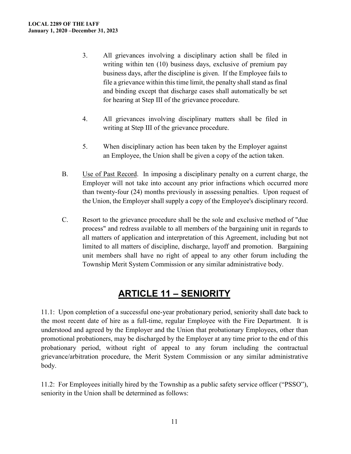- 3. All grievances involving a disciplinary action shall be filed in writing within ten (10) business days, exclusive of premium pay business days, after the discipline is given. If the Employee fails to file a grievance within this time limit, the penalty shall stand as final and binding except that discharge cases shall automatically be set for hearing at Step III of the grievance procedure.
- 4. All grievances involving disciplinary matters shall be filed in writing at Step III of the grievance procedure.
- 5. When disciplinary action has been taken by the Employer against an Employee, the Union shall be given a copy of the action taken.
- B. Use of Past Record. In imposing a disciplinary penalty on a current charge, the Employer will not take into account any prior infractions which occurred more than twenty-four (24) months previously in assessing penalties. Upon request of the Union, the Employer shall supply a copy of the Employee's disciplinary record.
- C. Resort to the grievance procedure shall be the sole and exclusive method of "due process" and redress available to all members of the bargaining unit in regards to all matters of application and interpretation of this Agreement, including but not limited to all matters of discipline, discharge, layoff and promotion. Bargaining unit members shall have no right of appeal to any other forum including the Township Merit System Commission or any similar administrative body.

### **ARTICLE 11 – SENIORITY**

<span id="page-10-0"></span>11.1: Upon completion of a successful one-year probationary period, seniority shall date back to the most recent date of hire as a full-time, regular Employee with the Fire Department. It is understood and agreed by the Employer and the Union that probationary Employees, other than promotional probationers, may be discharged by the Employer at any time prior to the end of this probationary period, without right of appeal to any forum including the contractual grievance/arbitration procedure, the Merit System Commission or any similar administrative body.

11.2: For Employees initially hired by the Township as a public safety service officer ("PSSO"), seniority in the Union shall be determined as follows: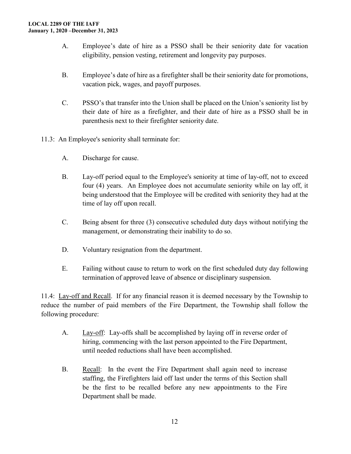- A. Employee's date of hire as a PSSO shall be their seniority date for vacation eligibility, pension vesting, retirement and longevity pay purposes.
- B. Employee's date of hire as a firefighter shall be their seniority date for promotions, vacation pick, wages, and payoff purposes.
- C. PSSO's that transfer into the Union shall be placed on the Union's seniority list by their date of hire as a firefighter, and their date of hire as a PSSO shall be in parenthesis next to their firefighter seniority date.
- 11.3: An Employee's seniority shall terminate for:
	- A. Discharge for cause.
	- B. Lay-off period equal to the Employee's seniority at time of lay-off, not to exceed four (4) years. An Employee does not accumulate seniority while on lay off, it being understood that the Employee will be credited with seniority they had at the time of lay off upon recall.
	- C. Being absent for three (3) consecutive scheduled duty days without notifying the management, or demonstrating their inability to do so.
	- D. Voluntary resignation from the department.
	- E. Failing without cause to return to work on the first scheduled duty day following termination of approved leave of absence or disciplinary suspension.

11.4: Lay-off and Recall. If for any financial reason it is deemed necessary by the Township to reduce the number of paid members of the Fire Department, the Township shall follow the following procedure:

- A. Lay-off: Lay-offs shall be accomplished by laying off in reverse order of hiring, commencing with the last person appointed to the Fire Department, until needed reductions shall have been accomplished.
- B. Recall: In the event the Fire Department shall again need to increase staffing, the Firefighters laid off last under the terms of this Section shall be the first to be recalled before any new appointments to the Fire Department shall be made.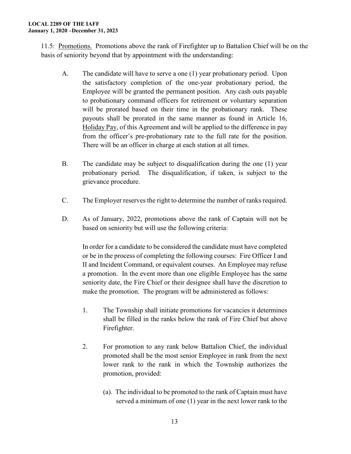11.5: Promotions. Promotions above the rank of Firefighter up to Battalion Chief will be on the basis of seniority beyond that by appointment with the understanding:

- A. The candidate will have to serve a one (1) year probationary period. Upon the satisfactory completion of the one-year probationary period, the Employee will be granted the permanent position. Any cash outs payable to probationary command officers for retirement or voluntary separation will be prorated based on their time in the probationary rank. These payouts shall be prorated in the same manner as found in Article 16, Holiday Pay, of this Agreement and will be applied to the difference in pay from the officer's pre-probationary rate to the full rate for the position. There will be an officer in charge at each station at all times.
- B. The candidate may be subject to disqualification during the one (1) year probationary period. The disqualification, if taken, is subject to the grievance procedure.
- C. The Employer reserves the right to determine the number of ranks required.
- D. As of January, 2022, promotions above the rank of Captain will not be based on seniority but will use the following criteria:

In order for a candidate to be considered the candidate must have completed or be in the process of completing the following courses: Fire Officer I and II and Incident Command, or equivalent courses. An Employee may refuse a promotion. In the event more than one eligible Employee has the same seniority date, the Fire Chief or their designee shall have the discretion to make the promotion. The program will be administered as follows:

- 1. The Township shall initiate promotions for vacancies it determines shall be filled in the ranks below the rank of Fire Chief but above Firefighter.
- 2. For promotion to any rank below Battalion Chief, the individual promoted shall be the most senior Employee in rank from the next lower rank to the rank in which the Township authorizes the promotion, provided:
	- (a). The individual to be promoted to the rank of Captain must have served a minimum of one (1) year in the next lower rank to the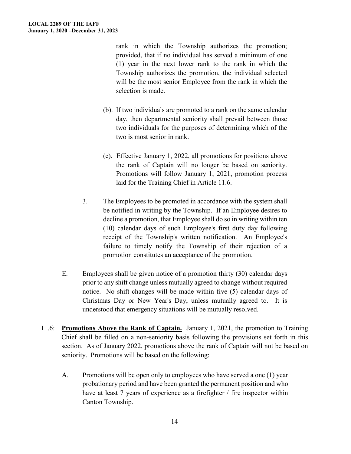rank in which the Township authorizes the promotion; provided, that if no individual has served a minimum of one (1) year in the next lower rank to the rank in which the Township authorizes the promotion, the individual selected will be the most senior Employee from the rank in which the selection is made.

- (b). If two individuals are promoted to a rank on the same calendar day, then departmental seniority shall prevail between those two individuals for the purposes of determining which of the two is most senior in rank.
- (c). Effective January 1, 2022, all promotions for positions above the rank of Captain will no longer be based on seniority. Promotions will follow January 1, 2021, promotion process laid for the Training Chief in Article 11.6.
- 3. The Employees to be promoted in accordance with the system shall be notified in writing by the Township. If an Employee desires to decline a promotion, that Employee shall do so in writing within ten (10) calendar days of such Employee's first duty day following receipt of the Township's written notification. An Employee's failure to timely notify the Township of their rejection of a promotion constitutes an acceptance of the promotion.
- E. Employees shall be given notice of a promotion thirty (30) calendar days prior to any shift change unless mutually agreed to change without required notice. No shift changes will be made within five (5) calendar days of Christmas Day or New Year's Day, unless mutually agreed to. It is understood that emergency situations will be mutually resolved.
- 11.6: **Promotions Above the Rank of Captain.** January 1, 2021, the promotion to Training Chief shall be filled on a non-seniority basis following the provisions set forth in this section. As of January 2022, promotions above the rank of Captain will not be based on seniority. Promotions will be based on the following:
	- A. Promotions will be open only to employees who have served a one (1) year probationary period and have been granted the permanent position and who have at least 7 years of experience as a firefighter / fire inspector within Canton Township.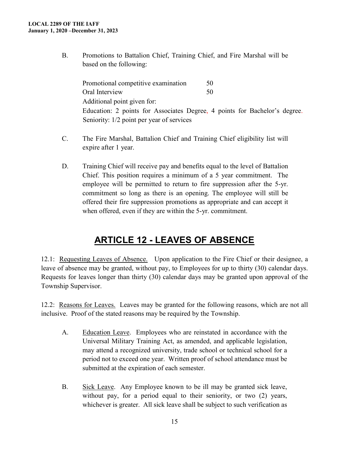B. Promotions to Battalion Chief, Training Chief, and Fire Marshal will be based on the following:

Promotional competitive examination 50 Oral Interview 50 Additional point given for: Education: 2 points for Associates Degree, 4 points for Bachelor's degree. Seniority: 1/2 point per year of services

- C. The Fire Marshal, Battalion Chief and Training Chief eligibility list will expire after 1 year.
- D. Training Chief will receive pay and benefits equal to the level of Battalion Chief. This position requires a minimum of a 5 year commitment. The employee will be permitted to return to fire suppression after the 5-yr. commitment so long as there is an opening. The employee will still be offered their fire suppression promotions as appropriate and can accept it when offered, even if they are within the 5-yr. commitment.

### **ARTICLE 12 - LEAVES OF ABSENCE**

<span id="page-14-0"></span>12.1: Requesting Leaves of Absence. Upon application to the Fire Chief or their designee, a leave of absence may be granted, without pay, to Employees for up to thirty (30) calendar days. Requests for leaves longer than thirty (30) calendar days may be granted upon approval of the Township Supervisor.

12.2: Reasons for Leaves. Leaves may be granted for the following reasons, which are not all inclusive. Proof of the stated reasons may be required by the Township.

- A. Education Leave. Employees who are reinstated in accordance with the Universal Military Training Act, as amended, and applicable legislation, may attend a recognized university, trade school or technical school for a period not to exceed one year. Written proof of school attendance must be submitted at the expiration of each semester.
- B. Sick Leave. Any Employee known to be ill may be granted sick leave, without pay, for a period equal to their seniority, or two (2) years, whichever is greater. All sick leave shall be subject to such verification as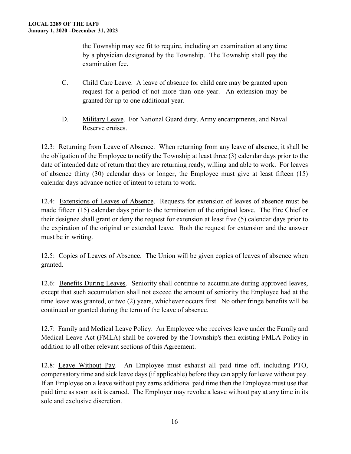the Township may see fit to require, including an examination at any time by a physician designated by the Township. The Township shall pay the examination fee.

- C. Child Care Leave. A leave of absence for child care may be granted upon request for a period of not more than one year. An extension may be granted for up to one additional year.
- D. Military Leave. For National Guard duty, Army encampments, and Naval Reserve cruises.

12.3: Returning from Leave of Absence. When returning from any leave of absence, it shall be the obligation of the Employee to notify the Township at least three (3) calendar days prior to the date of intended date of return that they are returning ready, willing and able to work. For leaves of absence thirty (30) calendar days or longer, the Employee must give at least fifteen (15) calendar days advance notice of intent to return to work.

12.4: Extensions of Leaves of Absence. Requests for extension of leaves of absence must be made fifteen (15) calendar days prior to the termination of the original leave. The Fire Chief or their designee shall grant or deny the request for extension at least five (5) calendar days prior to the expiration of the original or extended leave. Both the request for extension and the answer must be in writing.

12.5: Copies of Leaves of Absence. The Union will be given copies of leaves of absence when granted.

12.6: Benefits During Leaves. Seniority shall continue to accumulate during approved leaves, except that such accumulation shall not exceed the amount of seniority the Employee had at the time leave was granted, or two (2) years, whichever occurs first. No other fringe benefits will be continued or granted during the term of the leave of absence.

12.7: Family and Medical Leave Policy. An Employee who receives leave under the Family and Medical Leave Act (FMLA) shall be covered by the Township's then existing FMLA Policy in addition to all other relevant sections of this Agreement.

12.8: Leave Without Pay. An Employee must exhaust all paid time off, including PTO, compensatory time and sick leave days (if applicable) before they can apply for leave without pay. If an Employee on a leave without pay earns additional paid time then the Employee must use that paid time as soon as it is earned. The Employer may revoke a leave without pay at any time in its sole and exclusive discretion.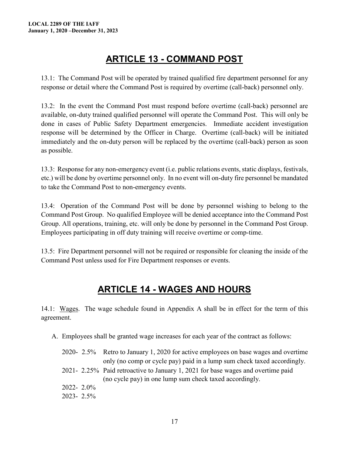### **ARTICLE 13 - COMMAND POST**

<span id="page-16-0"></span>13.1: The Command Post will be operated by trained qualified fire department personnel for any response or detail where the Command Post is required by overtime (call-back) personnel only.

13.2: In the event the Command Post must respond before overtime (call-back) personnel are available, on-duty trained qualified personnel will operate the Command Post. This will only be done in cases of Public Safety Department emergencies. Immediate accident investigation response will be determined by the Officer in Charge. Overtime (call-back) will be initiated immediately and the on-duty person will be replaced by the overtime (call-back) person as soon as possible.

13.3: Response for any non-emergency event (i.e. public relations events, static displays, festivals, etc.) will be done by overtime personnel only. In no event will on-duty fire personnel be mandated to take the Command Post to non-emergency events.

13.4: Operation of the Command Post will be done by personnel wishing to belong to the Command Post Group. No qualified Employee will be denied acceptance into the Command Post Group. All operations, training, etc. will only be done by personnel in the Command Post Group. Employees participating in off duty training will receive overtime or comp-time.

13.5: Fire Department personnel will not be required or responsible for cleaning the inside of the Command Post unless used for Fire Department responses or events.

### **ARTICLE 14 - WAGES AND HOURS**

<span id="page-16-1"></span>14.1: Wages. The wage schedule found in Appendix A shall be in effect for the term of this agreement.

A. Employees shall be granted wage increases for each year of the contract as follows:

|           | 2020-2.5% Retro to January 1, 2020 for active employees on base wages and overtime |
|-----------|------------------------------------------------------------------------------------|
|           | only (no comp or cycle pay) paid in a lump sum check taxed accordingly.            |
|           | 2021-2.25% Paid retroactive to January 1, 2021 for base wages and overtime paid    |
|           | (no cycle pay) in one lump sum check taxed accordingly.                            |
| 2022-2.0% |                                                                                    |
| 2023-2.5% |                                                                                    |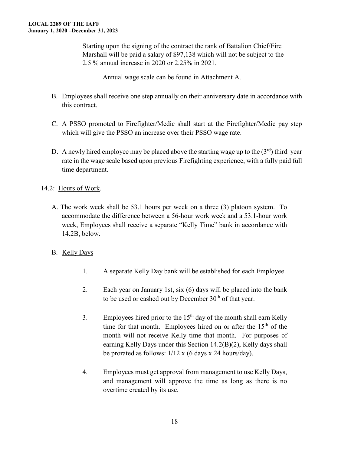Starting upon the signing of the contract the rank of Battalion Chief/Fire Marshall will be paid a salary of \$97,138 which will not be subject to the 2.5 % annual increase in 2020 or 2.25% in 2021.

Annual wage scale can be found in Attachment A.

- B. Employees shall receive one step annually on their anniversary date in accordance with this contract.
- C. A PSSO promoted to Firefighter/Medic shall start at the Firefighter/Medic pay step which will give the PSSO an increase over their PSSO wage rate.
- D. A newly hired employee may be placed above the starting wage up to the  $(3<sup>rd</sup>)$  third year rate in the wage scale based upon previous Firefighting experience, with a fully paid full time department.

#### 14.2: Hours of Work.

- A. The work week shall be 53.1 hours per week on a three (3) platoon system. To accommodate the difference between a 56-hour work week and a 53.1-hour work week, Employees shall receive a separate "Kelly Time" bank in accordance with 14.2B, below.
- B. Kelly Days
	- 1. A separate Kelly Day bank will be established for each Employee.
	- 2. Each year on January 1st, six (6) days will be placed into the bank to be used or cashed out by December  $30<sup>th</sup>$  of that year.
	- 3. Employees hired prior to the  $15<sup>th</sup>$  day of the month shall earn Kelly time for that month. Employees hired on or after the  $15<sup>th</sup>$  of the month will not receive Kelly time that month. For purposes of earning Kelly Days under this Section 14.2(B)(2), Kelly days shall be prorated as follows: 1/12 x (6 days x 24 hours/day).
	- 4. Employees must get approval from management to use Kelly Days, and management will approve the time as long as there is no overtime created by its use.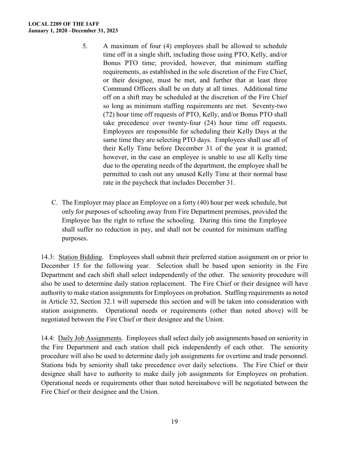#### **LOCAL 2289 OF THE IAFF January 1, 2020 –December 31, 2023**

- 5. A maximum of four (4) employees shall be allowed to schedule time off in a single shift, including those using PTO, Kelly, and/or Bonus PTO time; provided, however, that minimum staffing requirements, as established in the sole discretion of the Fire Chief, or their designee, must be met, and further that at least three Command Officers shall be on duty at all times. Additional time off on a shift may be scheduled at the discretion of the Fire Chief so long as minimum staffing requirements are met. Seventy-two (72) hour time off requests of PTO, Kelly, and/or Bonus PTO shall take precedence over twenty-four (24) hour time off requests. Employees are responsible for scheduling their Kelly Days at the same time they are selecting PTO days. Employees shall use all of their Kelly Time before December 31 of the year it is granted; however, in the case an employee is unable to use all Kelly time due to the operating needs of the department, the employee shall be permitted to cash out any unused Kelly Time at their normal base rate in the paycheck that includes December 31.
- C. The Employer may place an Employee on a forty (40) hour per week schedule, but only for purposes of schooling away from Fire Department premises, provided the Employee has the right to refuse the schooling. During this time the Employee shall suffer no reduction in pay, and shall not be counted for minimum staffing purposes.

14.3: Station Bidding. Employees shall submit their preferred station assignment on or prior to December 15 for the following year. Selection shall be based upon seniority in the Fire Department and each shift shall select independently of the other. The seniority procedure will also be used to determine daily station replacement. The Fire Chief or their designee will have authority to make station assignments for Employees on probation. Staffing requirements as noted in Article 32, Section 32.1 will supersede this section and will be taken into consideration with station assignments. Operational needs or requirements (other than noted above) will be negotiated between the Fire Chief or their designee and the Union.

14.4: Daily Job Assignments. Employees shall select daily job assignments based on seniority in the Fire Department and each station shall pick independently of each other. The seniority procedure will also be used to determine daily job assignments for overtime and trade personnel. Stations bids by seniority shall take precedence over daily selections. The Fire Chief or their designee shall have to authority to make daily job assignments for Employees on probation. Operational needs or requirements other than noted hereinabove will be negotiated between the Fire Chief or their designee and the Union.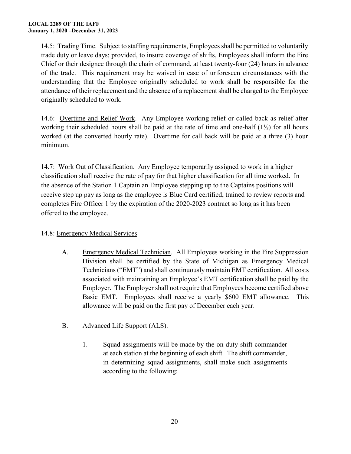14.5: Trading Time. Subject to staffing requirements, Employees shall be permitted to voluntarily trade duty or leave days; provided, to insure coverage of shifts, Employees shall inform the Fire Chief or their designee through the chain of command, at least twenty-four (24) hours in advance of the trade. This requirement may be waived in case of unforeseen circumstances with the understanding that the Employee originally scheduled to work shall be responsible for the attendance of their replacement and the absence of a replacement shall be charged to the Employee originally scheduled to work.

14.6: Overtime and Relief Work. Any Employee working relief or called back as relief after working their scheduled hours shall be paid at the rate of time and one-half  $(1\frac{1}{2})$  for all hours worked (at the converted hourly rate). Overtime for call back will be paid at a three (3) hour minimum.

14.7: Work Out of Classification. Any Employee temporarily assigned to work in a higher classification shall receive the rate of pay for that higher classification for all time worked. In the absence of the Station 1 Captain an Employee stepping up to the Captains positions will receive step up pay as long as the employee is Blue Card certified, trained to review reports and completes Fire Officer 1 by the expiration of the 2020-2023 contract so long as it has been offered to the employee.

#### 14.8: Emergency Medical Services

A. Emergency Medical Technician. All Employees working in the Fire Suppression Division shall be certified by the State of Michigan as Emergency Medical Technicians ("EMT") and shall continuously maintain EMT certification. All costs associated with maintaining an Employee's EMT certification shall be paid by the Employer. The Employer shall not require that Employees become certified above Basic EMT. Employees shall receive a yearly \$600 EMT allowance. This allowance will be paid on the first pay of December each year.

#### B. Advanced Life Support (ALS).

1. Squad assignments will be made by the on-duty shift commander at each station at the beginning of each shift. The shift commander, in determining squad assignments, shall make such assignments according to the following: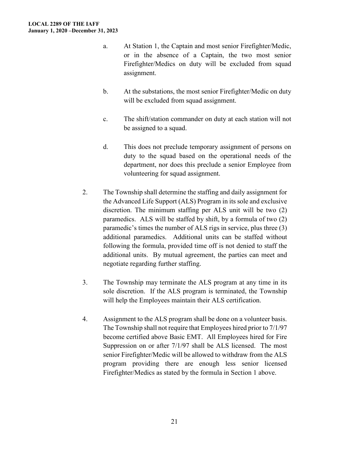- a. At Station 1, the Captain and most senior Firefighter/Medic, or in the absence of a Captain, the two most senior Firefighter/Medics on duty will be excluded from squad assignment.
- b. At the substations, the most senior Firefighter/Medic on duty will be excluded from squad assignment.
- c. The shift/station commander on duty at each station will not be assigned to a squad.
- d. This does not preclude temporary assignment of persons on duty to the squad based on the operational needs of the department, nor does this preclude a senior Employee from volunteering for squad assignment.
- 2. The Township shall determine the staffing and daily assignment for the Advanced Life Support (ALS) Program in its sole and exclusive discretion. The minimum staffing per ALS unit will be two (2) paramedics. ALS will be staffed by shift, by a formula of two (2) paramedic's times the number of ALS rigs in service, plus three (3) additional paramedics. Additional units can be staffed without following the formula, provided time off is not denied to staff the additional units. By mutual agreement, the parties can meet and negotiate regarding further staffing.
- 3. The Township may terminate the ALS program at any time in its sole discretion. If the ALS program is terminated, the Township will help the Employees maintain their ALS certification.
- 4. Assignment to the ALS program shall be done on a volunteer basis. The Township shall not require that Employees hired prior to 7/1/97 become certified above Basic EMT. All Employees hired for Fire Suppression on or after 7/1/97 shall be ALS licensed. The most senior Firefighter/Medic will be allowed to withdraw from the ALS program providing there are enough less senior licensed Firefighter/Medics as stated by the formula in Section 1 above.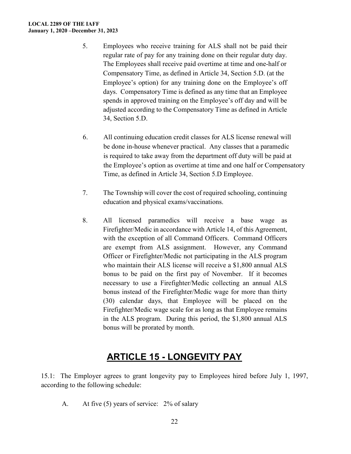#### **LOCAL 2289 OF THE IAFF January 1, 2020 –December 31, 2023**

- 5. Employees who receive training for ALS shall not be paid their regular rate of pay for any training done on their regular duty day. The Employees shall receive paid overtime at time and one-half or Compensatory Time, as defined in Article 34, Section 5.D. (at the Employee's option) for any training done on the Employee's off days. Compensatory Time is defined as any time that an Employee spends in approved training on the Employee's off day and will be adjusted according to the Compensatory Time as defined in Article 34, Section 5.D.
- 6. All continuing education credit classes for ALS license renewal will be done in-house whenever practical. Any classes that a paramedic is required to take away from the department off duty will be paid at the Employee's option as overtime at time and one half or Compensatory Time, as defined in Article 34, Section 5.D Employee.
- 7. The Township will cover the cost of required schooling, continuing education and physical exams/vaccinations.
- 8. All licensed paramedics will receive a base wage as Firefighter/Medic in accordance with Article 14, of this Agreement, with the exception of all Command Officers. Command Officers are exempt from ALS assignment. However, any Command Officer or Firefighter/Medic not participating in the ALS program who maintain their ALS license will receive a \$1,800 annual ALS bonus to be paid on the first pay of November. If it becomes necessary to use a Firefighter/Medic collecting an annual ALS bonus instead of the Firefighter/Medic wage for more than thirty (30) calendar days, that Employee will be placed on the Firefighter/Medic wage scale for as long as that Employee remains in the ALS program. During this period, the \$1,800 annual ALS bonus will be prorated by month.

#### **ARTICLE 15 - LONGEVITY PAY**

<span id="page-21-0"></span>15.1: The Employer agrees to grant longevity pay to Employees hired before July 1, 1997, according to the following schedule:

A. At five (5) years of service: 2% of salary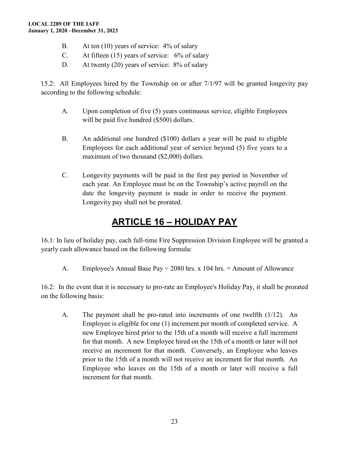- B. At ten (10) years of service: 4% of salary
- C. At fifteen (15) years of service: 6% of salary
- D. At twenty (20) years of service: 8% of salary

15.2: All Employees hired by the Township on or after 7/1/97 will be granted longevity pay according to the following schedule:

- A. Upon completion of five (5) years continuous service, eligible Employees will be paid five hundred (\$500) dollars.
- B. An additional one hundred (\$100) dollars a year will be paid to eligible Employees for each additional year of service beyond (5) five years to a maximum of two thousand (\$2,000) dollars.
- C. Longevity payments will be paid in the first pay period in November of each year. An Employee must be on the Township's active payroll on the date the longevity payment is made in order to receive the payment. Longevity pay shall not be prorated.

### **ARTICLE 16 – HOLIDAY PAY**

<span id="page-22-0"></span>16.1: In lieu of holiday pay, each full-time Fire Suppression Division Employee will be granted a yearly cash allowance based on the following formula:

A. Employee's Annual Base Pay  $\div$  2080 hrs. x 104 hrs. = Amount of Allowance

16.2: In the event that it is necessary to pro-rate an Employee's Holiday Pay, it shall be prorated on the following basis:

A. The payment shall be pro-rated into increments of one twelfth (1/12). An Employee is eligible for one (1) increment per month of completed service. A new Employee hired prior to the 15th of a month will receive a full increment for that month. A new Employee hired on the 15th of a month or later will not receive an increment for that month. Conversely, an Employee who leaves prior to the 15th of a month will not receive an increment for that month. An Employee who leaves on the 15th of a month or later will receive a full increment for that month.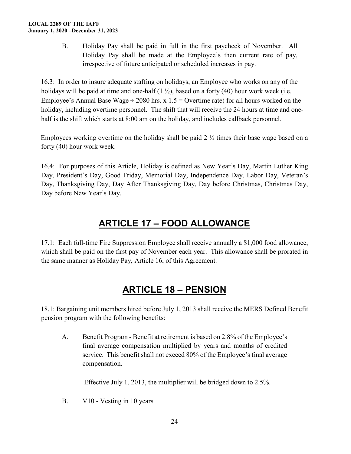B. Holiday Pay shall be paid in full in the first paycheck of November. All Holiday Pay shall be made at the Employee's then current rate of pay, irrespective of future anticipated or scheduled increases in pay.

16.3: In order to insure adequate staffing on holidays, an Employee who works on any of the holidays will be paid at time and one-half  $(1 \frac{1}{2})$ , based on a forty (40) hour work week (i.e. Employee's Annual Base Wage  $\div$  2080 hrs. x 1.5 = Overtime rate) for all hours worked on the holiday, including overtime personnel. The shift that will receive the 24 hours at time and onehalf is the shift which starts at 8:00 am on the holiday, and includes callback personnel.

Employees working overtime on the holiday shall be paid 2  $\frac{1}{4}$  times their base wage based on a forty (40) hour work week.

16.4: For purposes of this Article, Holiday is defined as New Year's Day, Martin Luther King Day, President's Day, Good Friday, Memorial Day, Independence Day, Labor Day, Veteran's Day, Thanksgiving Day, Day After Thanksgiving Day, Day before Christmas, Christmas Day, Day before New Year's Day.

### **ARTICLE 17 – FOOD ALLOWANCE**

<span id="page-23-0"></span>17.1: Each full-time Fire Suppression Employee shall receive annually a \$1,000 food allowance, which shall be paid on the first pay of November each year. This allowance shall be prorated in the same manner as Holiday Pay, Article 16, of this Agreement.

### **ARTICLE 18 – PENSION**

<span id="page-23-1"></span>18.1: Bargaining unit members hired before July 1, 2013 shall receive the MERS Defined Benefit pension program with the following benefits:

A. Benefit Program - Benefit at retirement is based on 2.8% of the Employee's final average compensation multiplied by years and months of credited service. This benefit shall not exceed 80% of the Employee's final average compensation.

Effective July 1, 2013, the multiplier will be bridged down to 2.5%.

B. V10 - Vesting in 10 years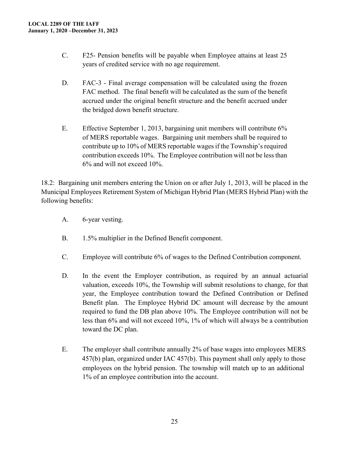- C. F25- Pension benefits will be payable when Employee attains at least 25 years of credited service with no age requirement.
- D. FAC-3 Final average compensation will be calculated using the frozen FAC method. The final benefit will be calculated as the sum of the benefit accrued under the original benefit structure and the benefit accrued under the bridged down benefit structure.
- E. Effective September 1, 2013, bargaining unit members will contribute 6% of MERS reportable wages. Bargaining unit members shall be required to contribute up to 10% of MERS reportable wages if the Township's required contribution exceeds 10%. The Employee contribution will not be less than 6% and will not exceed 10%.

18.2: Bargaining unit members entering the Union on or after July 1, 2013, will be placed in the Municipal Employees Retirement System of Michigan Hybrid Plan (MERS Hybrid Plan) with the following benefits:

- A. 6-year vesting.
- B. 1.5% multiplier in the Defined Benefit component.
- C. Employee will contribute 6% of wages to the Defined Contribution component.
- D. In the event the Employer contribution, as required by an annual actuarial valuation, exceeds 10%, the Township will submit resolutions to change, for that year, the Employee contribution toward the Defined Contribution or Defined Benefit plan. The Employee Hybrid DC amount will decrease by the amount required to fund the DB plan above 10%. The Employee contribution will not be less than 6% and will not exceed 10%, 1% of which will always be a contribution toward the DC plan.
- E. The employer shall contribute annually 2% of base wages into employees MERS 457(b) plan, organized under IAC 457(b). This payment shall only apply to those employees on the hybrid pension. The township will match up to an additional 1% of an employee contribution into the account.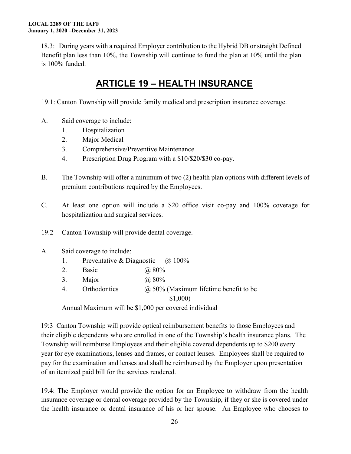18.3: During years with a required Employer contribution to the Hybrid DB or straight Defined Benefit plan less than 10%, the Township will continue to fund the plan at 10% until the plan is 100% funded.

### **ARTICLE 19 – HEALTH INSURANCE**

<span id="page-25-0"></span>19.1: Canton Township will provide family medical and prescription insurance coverage.

- A. Said coverage to include:
	- 1. Hospitalization
	- 2. Major Medical
	- 3. Comprehensive/Preventive Maintenance
	- 4. Prescription Drug Program with a \$10/\$20/\$30 co-pay.
- B. The Township will offer a minimum of two (2) health plan options with different levels of premium contributions required by the Employees.
- C. At least one option will include a \$20 office visit co-pay and 100% coverage for hospitalization and surgical services.
- 19.2 Canton Township will provide dental coverage.
- A. Said coverage to include:
	- 1. Preventative & Diagnostic @ 100%
	- 2. Basic @ 80%
	- 3. Major @ 80%
	- 4. Orthodontics  $\qquad \qquad (\partial)$  50% (Maximum lifetime benefit to be

\$1,000)

Annual Maximum will be \$1,000 per covered individual

19:3 Canton Township will provide optical reimbursement benefits to those Employees and their eligible dependents who are enrolled in one of the Township's health insurance plans. The Township will reimburse Employees and their eligible covered dependents up to \$200 every year for eye examinations, lenses and frames, or contact lenses. Employees shall be required to pay for the examination and lenses and shall be reimbursed by the Employer upon presentation of an itemized paid bill for the services rendered.

19.4: The Employer would provide the option for an Employee to withdraw from the health insurance coverage or dental coverage provided by the Township, if they or she is covered under the health insurance or dental insurance of his or her spouse. An Employee who chooses to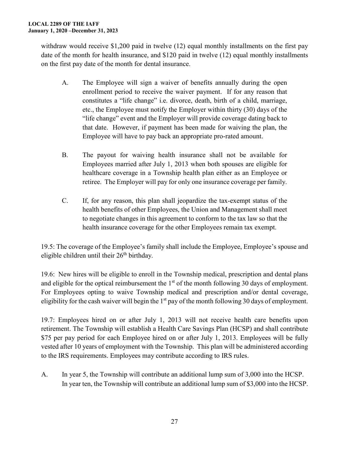withdraw would receive \$1,200 paid in twelve (12) equal monthly installments on the first pay date of the month for health insurance, and \$120 paid in twelve (12) equal monthly installments on the first pay date of the month for dental insurance.

- A. The Employee will sign a waiver of benefits annually during the open enrollment period to receive the waiver payment. If for any reason that constitutes a "life change" i.e. divorce, death, birth of a child, marriage, etc., the Employee must notify the Employer within thirty (30) days of the "life change" event and the Employer will provide coverage dating back to that date. However, if payment has been made for waiving the plan, the Employee will have to pay back an appropriate pro-rated amount.
- B. The payout for waiving health insurance shall not be available for Employees married after July 1, 2013 when both spouses are eligible for healthcare coverage in a Township health plan either as an Employee or retiree. The Employer will pay for only one insurance coverage per family.
- C. If, for any reason, this plan shall jeopardize the tax-exempt status of the health benefits of other Employees, the Union and Management shall meet to negotiate changes in this agreement to conform to the tax law so that the health insurance coverage for the other Employees remain tax exempt.

19.5: The coverage of the Employee's family shall include the Employee, Employee's spouse and eligible children until their  $26<sup>th</sup>$  birthday.

19.6: New hires will be eligible to enroll in the Township medical, prescription and dental plans and eligible for the optical reimbursement the  $1<sup>st</sup>$  of the month following 30 days of employment. For Employees opting to waive Township medical and prescription and/or dental coverage, eligibility for the cash waiver will begin the  $1<sup>st</sup>$  pay of the month following 30 days of employment.

19.7: Employees hired on or after July 1, 2013 will not receive health care benefits upon retirement. The Township will establish a Health Care Savings Plan (HCSP) and shall contribute \$75 per pay period for each Employee hired on or after July 1, 2013. Employees will be fully vested after 10 years of employment with the Township. This plan will be administered according to the IRS requirements. Employees may contribute according to IRS rules.

A. In year 5, the Township will contribute an additional lump sum of 3,000 into the HCSP. In year ten, the Township will contribute an additional lump sum of \$3,000 into the HCSP.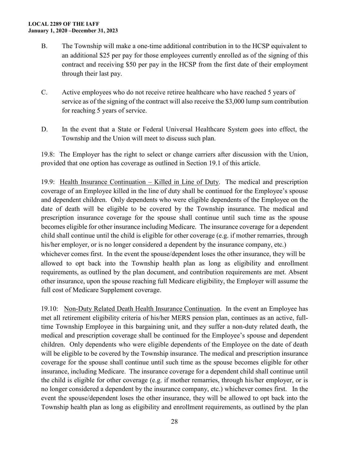#### **LOCAL 2289 OF THE IAFF January 1, 2020 –December 31, 2023**

- B. The Township will make a one-time additional contribution in to the HCSP equivalent to an additional \$25 per pay for those employees currently enrolled as of the signing of this contract and receiving \$50 per pay in the HCSP from the first date of their employment through their last pay.
- C. Active employees who do not receive retiree healthcare who have reached 5 years of service as of the signing of the contract will also receive the \$3,000 lump sum contribution for reaching 5 years of service.
- D. In the event that a State or Federal Universal Healthcare System goes into effect, the Township and the Union will meet to discuss such plan.

19.8: The Employer has the right to select or change carriers after discussion with the Union, provided that one option has coverage as outlined in Section 19.1 of this article.

19.9: Health Insurance Continuation – Killed in Line of Duty. The medical and prescription coverage of an Employee killed in the line of duty shall be continued for the Employee's spouse and dependent children. Only dependents who were eligible dependents of the Employee on the date of death will be eligible to be covered by the Township insurance. The medical and prescription insurance coverage for the spouse shall continue until such time as the spouse becomes eligible for other insurance including Medicare. The insurance coverage for a dependent child shall continue until the child is eligible for other coverage (e.g. if mother remarries, through his/her employer, or is no longer considered a dependent by the insurance company, etc.) whichever comes first. In the event the spouse/dependent loses the other insurance, they will be allowed to opt back into the Township health plan as long as eligibility and enrollment requirements, as outlined by the plan document, and contribution requirements are met. Absent other insurance, upon the spouse reaching full Medicare eligibility, the Employer will assume the full cost of Medicare Supplement coverage.

19.10: Non-Duty Related Death Health Insurance Continuation. In the event an Employee has met all retirement eligibility criteria of his/her MERS pension plan, continues as an active, fulltime Township Employee in this bargaining unit, and they suffer a non-duty related death, the medical and prescription coverage shall be continued for the Employee's spouse and dependent children. Only dependents who were eligible dependents of the Employee on the date of death will be eligible to be covered by the Township insurance. The medical and prescription insurance coverage for the spouse shall continue until such time as the spouse becomes eligible for other insurance, including Medicare. The insurance coverage for a dependent child shall continue until the child is eligible for other coverage (e.g. if mother remarries, through his/her employer, or is no longer considered a dependent by the insurance company, etc.) whichever comes first. In the event the spouse/dependent loses the other insurance, they will be allowed to opt back into the Township health plan as long as eligibility and enrollment requirements, as outlined by the plan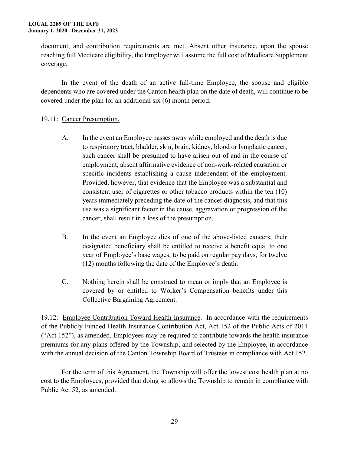document, and contribution requirements are met. Absent other insurance, upon the spouse reaching full Medicare eligibility, the Employer will assume the full cost of Medicare Supplement coverage.

In the event of the death of an active full-time Employee, the spouse and eligible dependents who are covered under the Canton health plan on the date of death, will continue to be covered under the plan for an additional six (6) month period.

#### 19.11: Cancer Presumption.

- A. In the event an Employee passes away while employed and the death is due to respiratory tract, bladder, skin, brain, kidney, blood or lymphatic cancer, such cancer shall be presumed to have arisen out of and in the course of employment, absent affirmative evidence of non-work-related causation or specific incidents establishing a cause independent of the employment. Provided, however, that evidence that the Employee was a substantial and consistent user of cigarettes or other tobacco products within the ten (10) years immediately preceding the date of the cancer diagnosis, and that this use was a significant factor in the cause, aggravation or progression of the cancer, shall result in a loss of the presumption.
- B. In the event an Employee dies of one of the above-listed cancers, their designated beneficiary shall be entitled to receive a benefit equal to one year of Employee's base wages, to be paid on regular pay days, for twelve (12) months following the date of the Employee's death.
- C. Nothing herein shall be construed to mean or imply that an Employee is covered by or entitled to Worker's Compensation benefits under this Collective Bargaining Agreement.

19.12: Employee Contribution Toward Health Insurance. In accordance with the requirements of the Publicly Funded Health Insurance Contribution Act, Act 152 of the Public Acts of 2011 ("Act 152"), as amended, Employees may be required to contribute towards the health insurance premiums for any plans offered by the Township, and selected by the Employee, in accordance with the annual decision of the Canton Township Board of Trustees in compliance with Act 152.

For the term of this Agreement, the Township will offer the lowest cost health plan at no cost to the Employees, provided that doing so allows the Township to remain in compliance with Public Act 52, as amended.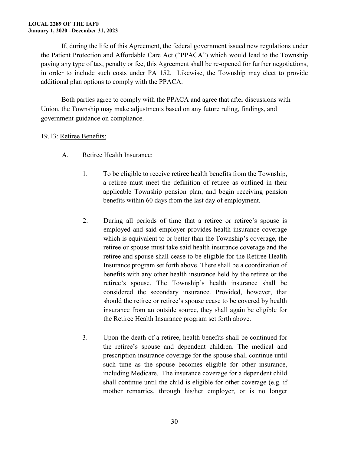#### **LOCAL 2289 OF THE IAFF January 1, 2020 –December 31, 2023**

If, during the life of this Agreement, the federal government issued new regulations under the Patient Protection and Affordable Care Act ("PPACA") which would lead to the Township paying any type of tax, penalty or fee, this Agreement shall be re-opened for further negotiations, in order to include such costs under PA 152. Likewise, the Township may elect to provide additional plan options to comply with the PPACA.

Both parties agree to comply with the PPACA and agree that after discussions with Union, the Township may make adjustments based on any future ruling, findings, and government guidance on compliance.

#### 19.13: Retiree Benefits:

- A. Retiree Health Insurance:
	- 1. To be eligible to receive retiree health benefits from the Township, a retiree must meet the definition of retiree as outlined in their applicable Township pension plan, and begin receiving pension benefits within 60 days from the last day of employment.
	- 2. During all periods of time that a retiree or retiree's spouse is employed and said employer provides health insurance coverage which is equivalent to or better than the Township's coverage, the retiree or spouse must take said health insurance coverage and the retiree and spouse shall cease to be eligible for the Retiree Health Insurance program set forth above. There shall be a coordination of benefits with any other health insurance held by the retiree or the retiree's spouse. The Township's health insurance shall be considered the secondary insurance. Provided, however, that should the retiree or retiree's spouse cease to be covered by health insurance from an outside source, they shall again be eligible for the Retiree Health Insurance program set forth above.
	- 3. Upon the death of a retiree, health benefits shall be continued for the retiree's spouse and dependent children. The medical and prescription insurance coverage for the spouse shall continue until such time as the spouse becomes eligible for other insurance, including Medicare. The insurance coverage for a dependent child shall continue until the child is eligible for other coverage (e.g. if mother remarries, through his/her employer, or is no longer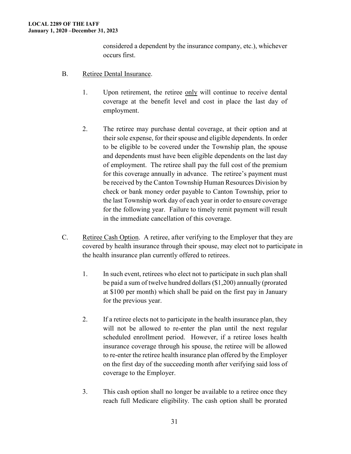considered a dependent by the insurance company, etc.), whichever occurs first.

- B. Retiree Dental Insurance.
	- 1. Upon retirement, the retiree only will continue to receive dental coverage at the benefit level and cost in place the last day of employment.
	- 2. The retiree may purchase dental coverage, at their option and at their sole expense, for their spouse and eligible dependents. In order to be eligible to be covered under the Township plan, the spouse and dependents must have been eligible dependents on the last day of employment. The retiree shall pay the full cost of the premium for this coverage annually in advance. The retiree's payment must be received by the Canton Township Human Resources Division by check or bank money order payable to Canton Township, prior to the last Township work day of each year in order to ensure coverage for the following year. Failure to timely remit payment will result in the immediate cancellation of this coverage.
- C. Retiree Cash Option. A retiree, after verifying to the Employer that they are covered by health insurance through their spouse, may elect not to participate in the health insurance plan currently offered to retirees.
	- 1. In such event, retirees who elect not to participate in such plan shall be paid a sum of twelve hundred dollars (\$1,200) annually (prorated at \$100 per month) which shall be paid on the first pay in January for the previous year.
	- 2. If a retiree elects not to participate in the health insurance plan, they will not be allowed to re-enter the plan until the next regular scheduled enrollment period. However, if a retiree loses health insurance coverage through his spouse, the retiree will be allowed to re-enter the retiree health insurance plan offered by the Employer on the first day of the succeeding month after verifying said loss of coverage to the Employer.
	- 3. This cash option shall no longer be available to a retiree once they reach full Medicare eligibility. The cash option shall be prorated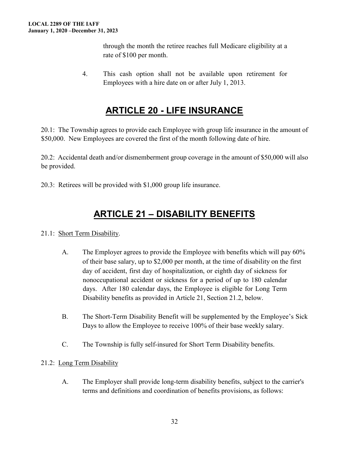through the month the retiree reaches full Medicare eligibility at a rate of \$100 per month.

4. This cash option shall not be available upon retirement for Employees with a hire date on or after July 1, 2013.

### **ARTICLE 20 - LIFE INSURANCE**

<span id="page-31-0"></span>20.1: The Township agrees to provide each Employee with group life insurance in the amount of \$50,000. New Employees are covered the first of the month following date of hire.

20.2: Accidental death and/or dismemberment group coverage in the amount of \$50,000 will also be provided.

20.3: Retirees will be provided with \$1,000 group life insurance.

### **ARTICLE 21 – DISABILITY BENEFITS**

#### <span id="page-31-1"></span>21.1: Short Term Disability.

- A. The Employer agrees to provide the Employee with benefits which will pay 60% of their base salary, up to \$2,000 per month, at the time of disability on the first day of accident, first day of hospitalization, or eighth day of sickness for nonoccupational accident or sickness for a period of up to 180 calendar days. After 180 calendar days, the Employee is eligible for Long Term Disability benefits as provided in Article 21, Section 21.2, below.
- B. The Short-Term Disability Benefit will be supplemented by the Employee's Sick Days to allow the Employee to receive 100% of their base weekly salary.
- C. The Township is fully self-insured for Short Term Disability benefits.

#### 21.2: Long Term Disability

A. The Employer shall provide long-term disability benefits, subject to the carrier's terms and definitions and coordination of benefits provisions, as follows: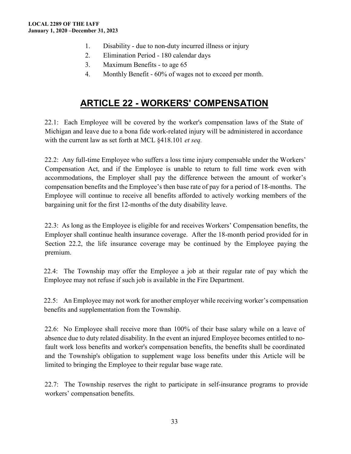- 1. Disability due to non-duty incurred illness or injury
- 2. Elimination Period 180 calendar days
- 3. Maximum Benefits to age 65
- 4. Monthly Benefit 60% of wages not to exceed per month.

### **ARTICLE 22 - WORKERS' COMPENSATION**

<span id="page-32-0"></span>22.1: Each Employee will be covered by the worker's compensation laws of the State of Michigan and leave due to a bona fide work-related injury will be administered in accordance with the current law as set forth at MCL §418.101 *et seq.* 

22.2: Any full-time Employee who suffers a loss time injury compensable under the Workers' Compensation Act, and if the Employee is unable to return to full time work even with accommodations, the Employer shall pay the difference between the amount of worker's compensation benefits and the Employee's then base rate of pay for a period of 18-months. The Employee will continue to receive all benefits afforded to actively working members of the bargaining unit for the first 12-months of the duty disability leave.

22.3: As long as the Employee is eligible for and receives Workers' Compensation benefits, the Employer shall continue health insurance coverage. After the 18-month period provided for in Section 22.2, the life insurance coverage may be continued by the Employee paying the premium.

22.4: The Township may offer the Employee a job at their regular rate of pay which the Employee may not refuse if such job is available in the Fire Department.

22.5: An Employee may not work for another employer while receiving worker's compensation benefits and supplementation from the Township.

22.6: No Employee shall receive more than 100% of their base salary while on a leave of absence due to duty related disability. In the event an injured Employee becomes entitled to nofault work loss benefits and worker's compensation benefits, the benefits shall be coordinated and the Township's obligation to supplement wage loss benefits under this Article will be limited to bringing the Employee to their regular base wage rate.

22.7: The Township reserves the right to participate in self-insurance programs to provide workers' compensation benefits.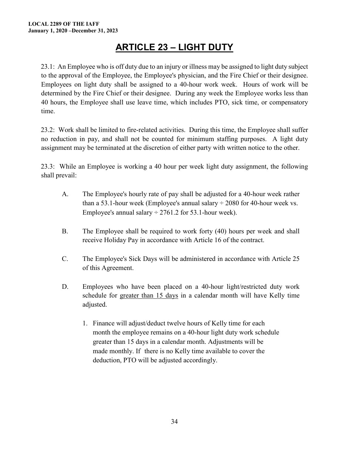### **ARTICLE 23 – LIGHT DUTY**

<span id="page-33-0"></span>23.1: An Employee who is off duty due to an injury or illness may be assigned to light duty subject to the approval of the Employee, the Employee's physician, and the Fire Chief or their designee. Employees on light duty shall be assigned to a 40-hour work week. Hours of work will be determined by the Fire Chief or their designee. During any week the Employee works less than 40 hours, the Employee shall use leave time, which includes PTO, sick time, or compensatory time.

23.2: Work shall be limited to fire-related activities. During this time, the Employee shall suffer no reduction in pay, and shall not be counted for minimum staffing purposes. A light duty assignment may be terminated at the discretion of either party with written notice to the other.

23.3: While an Employee is working a 40 hour per week light duty assignment, the following shall prevail:

- A. The Employee's hourly rate of pay shall be adjusted for a 40-hour week rather than a 53.1-hour week (Employee's annual salary  $\div$  2080 for 40-hour week vs. Employee's annual salary  $\div$  2761.2 for 53.1-hour week).
- B. The Employee shall be required to work forty (40) hours per week and shall receive Holiday Pay in accordance with Article 16 of the contract.
- C. The Employee's Sick Days will be administered in accordance with Article 25 of this Agreement.
- D. Employees who have been placed on a 40-hour light/restricted duty work schedule for greater than 15 days in a calendar month will have Kelly time adjusted.
	- 1. Finance will adjust/deduct twelve hours of Kelly time for each month the employee remains on a 40-hour light duty work schedule greater than 15 days in a calendar month. Adjustments will be made monthly. If there is no Kelly time available to cover the deduction, PTO will be adjusted accordingly.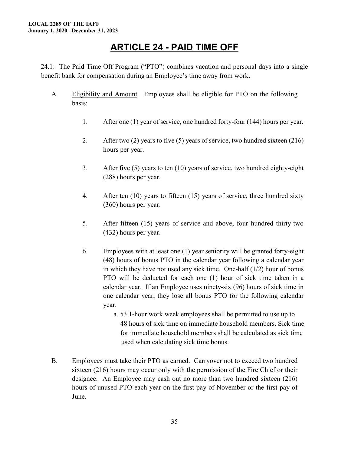#### **ARTICLE 24 - PAID TIME OFF**

<span id="page-34-0"></span>24.1: The Paid Time Off Program ("PTO") combines vacation and personal days into a single benefit bank for compensation during an Employee's time away from work.

- A. Eligibility and Amount. Employees shall be eligible for PTO on the following basis:
	- 1. After one (1) year of service, one hundred forty-four (144) hours per year.
	- 2. After two (2) years to five (5) years of service, two hundred sixteen (216) hours per year.
	- 3. After five (5) years to ten (10) years of service, two hundred eighty-eight (288) hours per year.
	- 4. After ten (10) years to fifteen (15) years of service, three hundred sixty (360) hours per year.
	- 5. After fifteen (15) years of service and above, four hundred thirty-two (432) hours per year.
	- 6. Employees with at least one (1) year seniority will be granted forty-eight (48) hours of bonus PTO in the calendar year following a calendar year in which they have not used any sick time. One-half (1/2) hour of bonus PTO will be deducted for each one (1) hour of sick time taken in a calendar year. If an Employee uses ninety-six (96) hours of sick time in one calendar year, they lose all bonus PTO for the following calendar year.
		- a. 53.1-hour work week employees shall be permitted to use up to 48 hours of sick time on immediate household members. Sick time for immediate household members shall be calculated as sick time used when calculating sick time bonus.
- B. Employees must take their PTO as earned. Carryover not to exceed two hundred sixteen (216) hours may occur only with the permission of the Fire Chief or their designee. An Employee may cash out no more than two hundred sixteen (216) hours of unused PTO each year on the first pay of November or the first pay of June.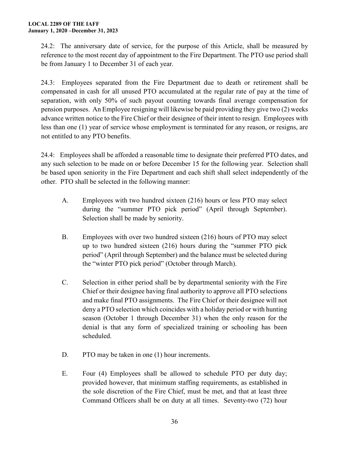24.2: The anniversary date of service, for the purpose of this Article, shall be measured by reference to the most recent day of appointment to the Fire Department. The PTO use period shall be from January 1 to December 31 of each year.

24.3: Employees separated from the Fire Department due to death or retirement shall be compensated in cash for all unused PTO accumulated at the regular rate of pay at the time of separation, with only 50% of such payout counting towards final average compensation for pension purposes. An Employee resigning will likewise be paid providing they give two (2) weeks advance written notice to the Fire Chief or their designee of their intent to resign. Employees with less than one (1) year of service whose employment is terminated for any reason, or resigns, are not entitled to any PTO benefits.

24.4: Employees shall be afforded a reasonable time to designate their preferred PTO dates, and any such selection to be made on or before December 15 for the following year. Selection shall be based upon seniority in the Fire Department and each shift shall select independently of the other. PTO shall be selected in the following manner:

- A. Employees with two hundred sixteen (216) hours or less PTO may select during the "summer PTO pick period" (April through September). Selection shall be made by seniority.
- B. Employees with over two hundred sixteen (216) hours of PTO may select up to two hundred sixteen (216) hours during the "summer PTO pick period" (April through September) and the balance must be selected during the "winter PTO pick period" (October through March).
- C. Selection in either period shall be by departmental seniority with the Fire Chief or their designee having final authority to approve all PTO selections and make final PTO assignments. The Fire Chief or their designee will not deny a PTO selection which coincides with a holiday period or with hunting season (October 1 through December 31) when the only reason for the denial is that any form of specialized training or schooling has been scheduled.
- D. PTO may be taken in one (1) hour increments.
- E. Four (4) Employees shall be allowed to schedule PTO per duty day; provided however, that minimum staffing requirements, as established in the sole discretion of the Fire Chief, must be met, and that at least three Command Officers shall be on duty at all times. Seventy-two (72) hour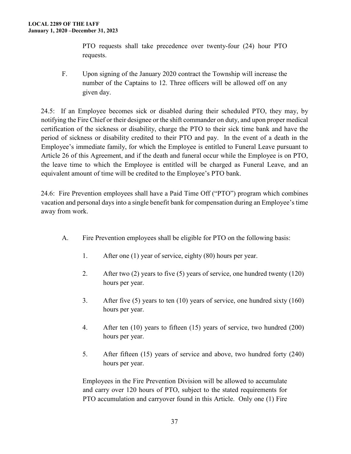PTO requests shall take precedence over twenty-four (24) hour PTO requests.

F. Upon signing of the January 2020 contract the Township will increase the number of the Captains to 12. Three officers will be allowed off on any given day.

24.5: If an Employee becomes sick or disabled during their scheduled PTO, they may, by notifying the Fire Chief or their designee or the shift commander on duty, and upon proper medical certification of the sickness or disability, charge the PTO to their sick time bank and have the period of sickness or disability credited to their PTO and pay. In the event of a death in the Employee's immediate family, for which the Employee is entitled to Funeral Leave pursuant to Article 26 of this Agreement, and if the death and funeral occur while the Employee is on PTO, the leave time to which the Employee is entitled will be charged as Funeral Leave, and an equivalent amount of time will be credited to the Employee's PTO bank.

24.6: Fire Prevention employees shall have a Paid Time Off ("PTO") program which combines vacation and personal days into a single benefit bank for compensation during an Employee's time away from work.

- A. Fire Prevention employees shall be eligible for PTO on the following basis:
	- 1. After one (1) year of service, eighty (80) hours per year.
	- 2. After two (2) years to five (5) years of service, one hundred twenty (120) hours per year.
	- 3. After five (5) years to ten (10) years of service, one hundred sixty (160) hours per year.
	- 4. After ten (10) years to fifteen (15) years of service, two hundred (200) hours per year.
	- 5. After fifteen (15) years of service and above, two hundred forty (240) hours per year.

Employees in the Fire Prevention Division will be allowed to accumulate and carry over 120 hours of PTO, subject to the stated requirements for PTO accumulation and carryover found in this Article. Only one (1) Fire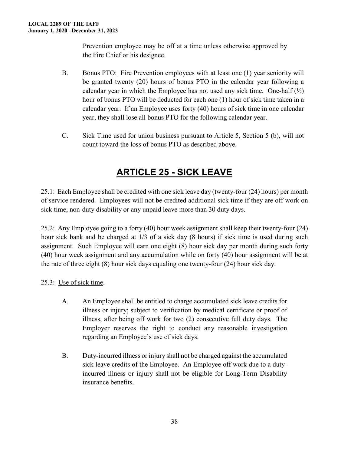Prevention employee may be off at a time unless otherwise approved by the Fire Chief or his designee.

- B. Bonus PTO: Fire Prevention employees with at least one (1) year seniority will be granted twenty (20) hours of bonus PTO in the calendar year following a calendar year in which the Employee has not used any sick time. One-half  $(\frac{1}{2})$ hour of bonus PTO will be deducted for each one (1) hour of sick time taken in a calendar year. If an Employee uses forty (40) hours of sick time in one calendar year, they shall lose all bonus PTO for the following calendar year.
- C. Sick Time used for union business pursuant to Article 5, Section 5 (b), will not count toward the loss of bonus PTO as described above.

# **ARTICLE 25 - SICK LEAVE**

<span id="page-37-0"></span>25.1: Each Employee shall be credited with one sick leave day (twenty-four (24) hours) per month of service rendered. Employees will not be credited additional sick time if they are off work on sick time, non-duty disability or any unpaid leave more than 30 duty days.

25.2: Any Employee going to a forty (40) hour week assignment shall keep their twenty-four (24) hour sick bank and be charged at 1/3 of a sick day (8 hours) if sick time is used during such assignment. Such Employee will earn one eight (8) hour sick day per month during such forty (40) hour week assignment and any accumulation while on forty (40) hour assignment will be at the rate of three eight (8) hour sick days equaling one twenty-four (24) hour sick day.

25.3: Use of sick time.

- A. An Employee shall be entitled to charge accumulated sick leave credits for illness or injury; subject to verification by medical certificate or proof of illness, after being off work for two (2) consecutive full duty days. The Employer reserves the right to conduct any reasonable investigation regarding an Employee's use of sick days.
- B. Duty-incurred illness or injury shall not be charged against the accumulated sick leave credits of the Employee. An Employee off work due to a dutyincurred illness or injury shall not be eligible for Long-Term Disability insurance benefits.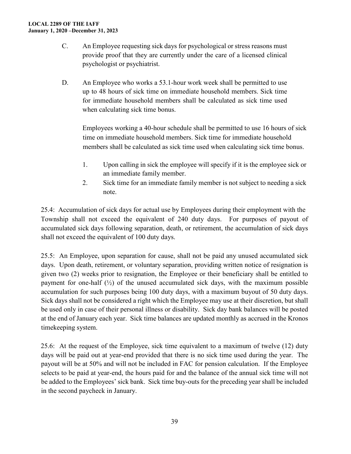- C. An Employee requesting sick days for psychological or stress reasons must provide proof that they are currently under the care of a licensed clinical psychologist or psychiatrist.
- D. An Employee who works a 53.1-hour work week shall be permitted to use up to 48 hours of sick time on immediate household members. Sick time for immediate household members shall be calculated as sick time used when calculating sick time bonus.

Employees working a 40-hour schedule shall be permitted to use 16 hours of sick time on immediate household members. Sick time for immediate household members shall be calculated as sick time used when calculating sick time bonus.

- 1. Upon calling in sick the employee will specify if it is the employee sick or an immediate family member.
- 2. Sick time for an immediate family member is not subject to needing a sick note.

25.4: Accumulation of sick days for actual use by Employees during their employment with the Township shall not exceed the equivalent of 240 duty days. For purposes of payout of accumulated sick days following separation, death, or retirement, the accumulation of sick days shall not exceed the equivalent of 100 duty days.

25.5: An Employee, upon separation for cause, shall not be paid any unused accumulated sick days. Upon death, retirement, or voluntary separation, providing written notice of resignation is given two (2) weeks prior to resignation, the Employee or their beneficiary shall be entitled to payment for one-half  $(\frac{1}{2})$  of the unused accumulated sick days, with the maximum possible accumulation for such purposes being 100 duty days, with a maximum buyout of 50 duty days. Sick days shall not be considered a right which the Employee may use at their discretion, but shall be used only in case of their personal illness or disability. Sick day bank balances will be posted at the end of January each year. Sick time balances are updated monthly as accrued in the Kronos timekeeping system.

25.6: At the request of the Employee, sick time equivalent to a maximum of twelve (12) duty days will be paid out at year-end provided that there is no sick time used during the year. The payout will be at 50% and will not be included in FAC for pension calculation. If the Employee selects to be paid at year-end, the hours paid for and the balance of the annual sick time will not be added to the Employees' sick bank. Sick time buy-outs for the preceding year shall be included in the second paycheck in January.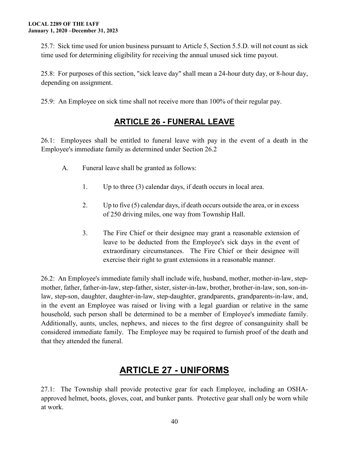25.7: Sick time used for union business pursuant to Article 5, Section 5.5.D. will not count as sick time used for determining eligibility for receiving the annual unused sick time payout.

25.8: For purposes of this section, "sick leave day" shall mean a 24-hour duty day, or 8-hour day, depending on assignment.

<span id="page-39-0"></span>25.9: An Employee on sick time shall not receive more than 100% of their regular pay.

#### **ARTICLE 26 - FUNERAL LEAVE**

26.1: Employees shall be entitled to funeral leave with pay in the event of a death in the Employee's immediate family as determined under Section 26.2

- A. Funeral leave shall be granted as follows:
	- 1. Up to three (3) calendar days, if death occurs in local area.
	- 2. Up to five (5) calendar days, if death occurs outside the area, or in excess of 250 driving miles, one way from Township Hall.
	- 3. The Fire Chief or their designee may grant a reasonable extension of leave to be deducted from the Employee's sick days in the event of extraordinary circumstances. The Fire Chief or their designee will exercise their right to grant extensions in a reasonable manner.

26.2: An Employee's immediate family shall include wife, husband, mother, mother-in-law, stepmother, father, father-in-law, step-father, sister, sister-in-law, brother, brother-in-law, son, son-inlaw, step-son, daughter, daughter-in-law, step-daughter, grandparents, grandparents-in-law, and, in the event an Employee was raised or living with a legal guardian or relative in the same household, such person shall be determined to be a member of Employee's immediate family. Additionally, aunts, uncles, nephews, and nieces to the first degree of consanguinity shall be considered immediate family. The Employee may be required to furnish proof of the death and that they attended the funeral.

### **ARTICLE 27 - UNIFORMS**

<span id="page-39-1"></span>27.1: The Township shall provide protective gear for each Employee, including an OSHAapproved helmet, boots, gloves, coat, and bunker pants. Protective gear shall only be worn while at work.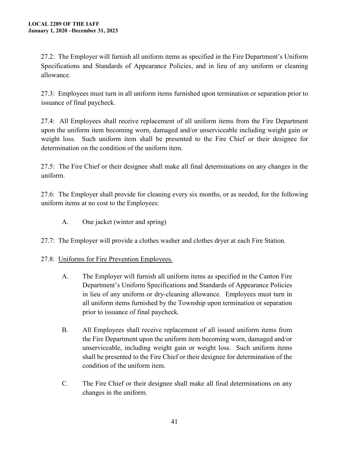27.2: The Employer will furnish all uniform items as specified in the Fire Department's Uniform Specifications and Standards of Appearance Policies, and in lieu of any uniform or cleaning allowance.

27.3: Employees must turn in all uniform items furnished upon termination or separation prior to issuance of final paycheck.

27.4: All Employees shall receive replacement of all uniform items from the Fire Department upon the uniform item becoming worn, damaged and/or unserviceable including weight gain or weight loss. Such uniform item shall be presented to the Fire Chief or their designee for determination on the condition of the uniform item.

27.5: The Fire Chief or their designee shall make all final determinations on any changes in the uniform.

27.6: The Employer shall provide for cleaning every six months, or as needed, for the following uniform items at no cost to the Employees:

A. One jacket (winter and spring)

27.7: The Employer will provide a clothes washer and clothes dryer at each Fire Station.

#### 27.8: Uniforms for Fire Prevention Employees.

- A. The Employer will furnish all uniform items as specified in the Canton Fire Department's Uniform Specifications and Standards of Appearance Policies in lieu of any uniform or dry-cleaning allowance. Employees must turn in all uniform items furnished by the Township upon termination or separation prior to issuance of final paycheck.
- B. All Employees shall receive replacement of all issued uniform items from the Fire Department upon the uniform item becoming worn, damaged and/or unserviceable, including weight gain or weight loss. Such uniform items shall be presented to the Fire Chief or their designee for determination of the condition of the uniform item.
- C. The Fire Chief or their designee shall make all final determinations on any changes in the uniform.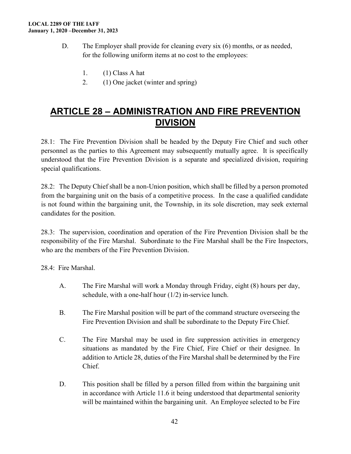- D. The Employer shall provide for cleaning every six (6) months, or as needed, for the following uniform items at no cost to the employees:
	- 1. (1) Class A hat
	- 2. (1) One jacket (winter and spring)

#### <span id="page-41-0"></span>**ARTICLE 28 – ADMINISTRATION AND FIRE PREVENTION DIVISION**

28.1: The Fire Prevention Division shall be headed by the Deputy Fire Chief and such other personnel as the parties to this Agreement may subsequently mutually agree. It is specifically understood that the Fire Prevention Division is a separate and specialized division, requiring special qualifications.

28.2: The Deputy Chief shall be a non-Union position, which shall be filled by a person promoted from the bargaining unit on the basis of a competitive process. In the case a qualified candidate is not found within the bargaining unit, the Township, in its sole discretion, may seek external candidates for the position.

28.3: The supervision, coordination and operation of the Fire Prevention Division shall be the responsibility of the Fire Marshal. Subordinate to the Fire Marshal shall be the Fire Inspectors, who are the members of the Fire Prevention Division.

28.4: Fire Marshal.

- A. The Fire Marshal will work a Monday through Friday, eight (8) hours per day, schedule, with a one-half hour (1/2) in-service lunch.
- B. The Fire Marshal position will be part of the command structure overseeing the Fire Prevention Division and shall be subordinate to the Deputy Fire Chief.
- C. The Fire Marshal may be used in fire suppression activities in emergency situations as mandated by the Fire Chief, Fire Chief or their designee. In addition to Article 28, duties of the Fire Marshal shall be determined by the Fire Chief.
- D. This position shall be filled by a person filled from within the bargaining unit in accordance with Article 11.6 it being understood that departmental seniority will be maintained within the bargaining unit. An Employee selected to be Fire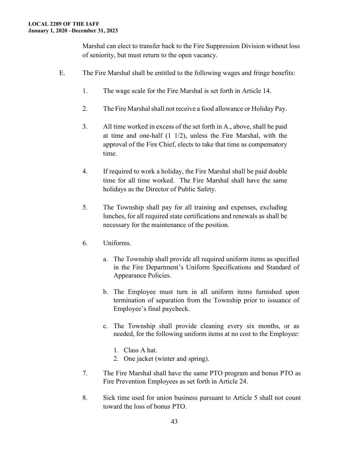Marshal can elect to transfer back to the Fire Suppression Division without loss of seniority, but must return to the open vacancy.

- E. The Fire Marshal shall be entitled to the following wages and fringe benefits:
	- 1. The wage scale for the Fire Marshal is set forth in Article 14.
	- 2. The Fire Marshal shall not receive a food allowance or Holiday Pay.
	- 3. All time worked in excess of the set forth in A., above, shall be paid at time and one-half (1 1/2), unless the Fire Marshal, with the approval of the Fire Chief, elects to take that time as compensatory time.
	- 4. If required to work a holiday, the Fire Marshal shall be paid double time for all time worked. The Fire Marshal shall have the same holidays as the Director of Public Safety.
	- 5. The Township shall pay for all training and expenses, excluding lunches, for all required state certifications and renewals as shall be necessary for the maintenance of the position.
	- 6. Uniforms.
		- a. The Township shall provide all required uniform items as specified in the Fire Department's Uniform Specifications and Standard of Appearance Policies.
		- b. The Employee must turn in all uniform items furnished upon termination of separation from the Township prior to issuance of Employee's final paycheck.
		- c. The Township shall provide cleaning every six months, or as needed, for the following uniform items at no cost to the Employee:
			- 1. Class A hat.
			- 2. One jacket (winter and spring).
	- 7. The Fire Marshal shall have the same PTO program and bonus PTO as Fire Prevention Employees as set forth in Article 24.
	- 8. Sick time used for union business pursuant to Article 5 shall not count toward the loss of bonus PTO.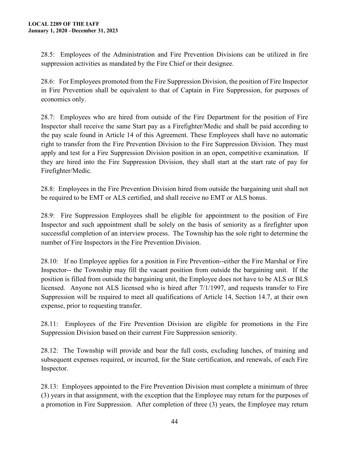28.5: Employees of the Administration and Fire Prevention Divisions can be utilized in fire suppression activities as mandated by the Fire Chief or their designee.

28.6: For Employees promoted from the Fire Suppression Division, the position of Fire Inspector in Fire Prevention shall be equivalent to that of Captain in Fire Suppression, for purposes of economics only.

28.7: Employees who are hired from outside of the Fire Department for the position of Fire Inspector shall receive the same Start pay as a Firefighter/Medic and shall be paid according to the pay scale found in Article 14 of this Agreement. These Employees shall have no automatic right to transfer from the Fire Prevention Division to the Fire Suppression Division. They must apply and test for a Fire Suppression Division position in an open, competitive examination. If they are hired into the Fire Suppression Division, they shall start at the start rate of pay for Firefighter/Medic.

28.8: Employees in the Fire Prevention Division hired from outside the bargaining unit shall not be required to be EMT or ALS certified, and shall receive no EMT or ALS bonus.

28.9: Fire Suppression Employees shall be eligible for appointment to the position of Fire Inspector and such appointment shall be solely on the basis of seniority as a firefighter upon successful completion of an interview process. The Township has the sole right to determine the number of Fire Inspectors in the Fire Prevention Division.

28.10: If no Employee applies for a position in Fire Prevention--either the Fire Marshal or Fire Inspector-- the Township may fill the vacant position from outside the bargaining unit. If the position is filled from outside the bargaining unit, the Employee does not have to be ALS or BLS licensed. Anyone not ALS licensed who is hired after 7/1/1997, and requests transfer to Fire Suppression will be required to meet all qualifications of Article 14, Section 14.7, at their own expense, prior to requesting transfer.

28.11: Employees of the Fire Prevention Division are eligible for promotions in the Fire Suppression Division based on their current Fire Suppression seniority.

28.12: The Township will provide and bear the full costs, excluding lunches, of training and subsequent expenses required, or incurred, for the State certification, and renewals, of each Fire Inspector.

28.13: Employees appointed to the Fire Prevention Division must complete a minimum of three (3) years in that assignment, with the exception that the Employee may return for the purposes of a promotion in Fire Suppression. After completion of three (3) years, the Employee may return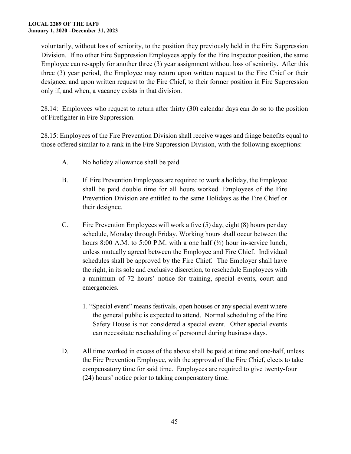voluntarily, without loss of seniority, to the position they previously held in the Fire Suppression Division. If no other Fire Suppression Employees apply for the Fire Inspector position, the same Employee can re-apply for another three (3) year assignment without loss of seniority. After this three (3) year period, the Employee may return upon written request to the Fire Chief or their designee, and upon written request to the Fire Chief, to their former position in Fire Suppression only if, and when, a vacancy exists in that division.

28.14: Employees who request to return after thirty (30) calendar days can do so to the position of Firefighter in Fire Suppression.

28.15: Employees of the Fire Prevention Division shall receive wages and fringe benefits equal to those offered similar to a rank in the Fire Suppression Division, with the following exceptions:

- A. No holiday allowance shall be paid.
- B. If Fire Prevention Employees are required to work a holiday, the Employee shall be paid double time for all hours worked. Employees of the Fire Prevention Division are entitled to the same Holidays as the Fire Chief or their designee.
- C. Fire Prevention Employees will work a five (5) day, eight (8) hours per day schedule, Monday through Friday. Working hours shall occur between the hours 8:00 A.M. to 5:00 P.M. with a one half  $(\frac{1}{2})$  hour in-service lunch, unless mutually agreed between the Employee and Fire Chief. Individual schedules shall be approved by the Fire Chief. The Employer shall have the right, in its sole and exclusive discretion, to reschedule Employees with a minimum of 72 hours' notice for training, special events, court and emergencies.
	- 1. "Special event" means festivals, open houses or any special event where the general public is expected to attend. Normal scheduling of the Fire Safety House is not considered a special event. Other special events can necessitate rescheduling of personnel during business days.
- D. All time worked in excess of the above shall be paid at time and one-half, unless the Fire Prevention Employee, with the approval of the Fire Chief, elects to take compensatory time for said time. Employees are required to give twenty-four (24) hours' notice prior to taking compensatory time.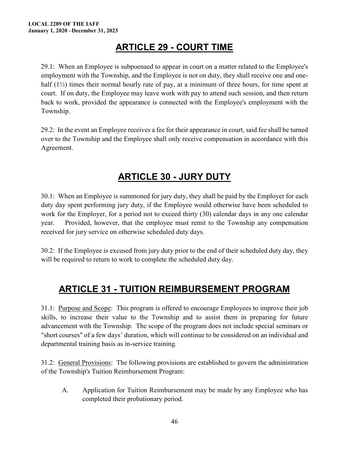### **ARTICLE 29 - COURT TIME**

<span id="page-45-0"></span>29.1: When an Employee is subpoenaed to appear in court on a matter related to the Employee's employment with the Township, and the Employee is not on duty, they shall receive one and onehalf  $(1/2)$  times their normal hourly rate of pay, at a minimum of three hours, for time spent at court. If on duty, the Employee may leave work with pay to attend such session, and then return back to work, provided the appearance is connected with the Employee's employment with the Township.

29.2: In the event an Employee receives a fee for their appearance in court, said fee shall be turned over to the Township and the Employee shall only receive compensation in accordance with this Agreement.

### **ARTICLE 30 - JURY DUTY**

<span id="page-45-1"></span>30.1: When an Employee is summoned for jury duty, they shall be paid by the Employer for each duty day spent performing jury duty, if the Employee would otherwise have been scheduled to work for the Employer, for a period not to exceed thirty (30) calendar days in any one calendar year. Provided, however, that the employee must remit to the Township any compensation received for jury service on otherwise scheduled duty days.

30.2: If the Employee is excused from jury duty prior to the end of their scheduled duty day, they will be required to return to work to complete the scheduled duty day.

### <span id="page-45-2"></span>**ARTICLE 31 - TUITION REIMBURSEMENT PROGRAM**

31.1: Purpose and Scope: This program is offered to encourage Employees to improve their job skills, to increase their value to the Township and to assist them in preparing for future advancement with the Township. The scope of the program does not include special seminars or "short courses" of a few days' duration, which will continue to be considered on an individual and departmental training basis as in-service training.

31.2: General Provisions: The following provisions are established to govern the administration of the Township's Tuition Reimbursement Program:

A. Application for Tuition Reimbursement may be made by any Employee who has completed their probationary period.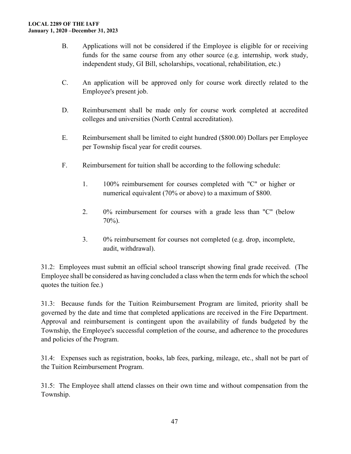- B. Applications will not be considered if the Employee is eligible for or receiving funds for the same course from any other source (e.g. internship, work study, independent study, GI Bill, scholarships, vocational, rehabilitation, etc.)
- C. An application will be approved only for course work directly related to the Employee's present job.
- D. Reimbursement shall be made only for course work completed at accredited colleges and universities (North Central accreditation).
- E. Reimbursement shall be limited to eight hundred (\$800.00) Dollars per Employee per Township fiscal year for credit courses.
- F. Reimbursement for tuition shall be according to the following schedule:
	- 1. 100% reimbursement for courses completed with "C" or higher or numerical equivalent (70% or above) to a maximum of \$800.
	- 2. 0% reimbursement for courses with a grade less than "C" (below 70%).
	- 3. 0% reimbursement for courses not completed (e.g. drop, incomplete, audit, withdrawal).

31.2: Employees must submit an official school transcript showing final grade received. (The Employee shall be considered as having concluded a class when the term ends for which the school quotes the tuition fee.)

31.3: Because funds for the Tuition Reimbursement Program are limited, priority shall be governed by the date and time that completed applications are received in the Fire Department. Approval and reimbursement is contingent upon the availability of funds budgeted by the Township, the Employee's successful completion of the course, and adherence to the procedures and policies of the Program.

31.4: Expenses such as registration, books, lab fees, parking, mileage, etc., shall not be part of the Tuition Reimbursement Program.

31.5: The Employee shall attend classes on their own time and without compensation from the Township.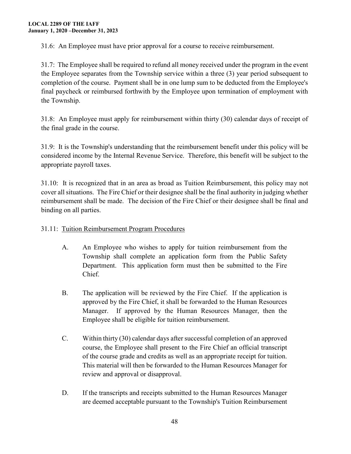31.6: An Employee must have prior approval for a course to receive reimbursement.

31.7: The Employee shall be required to refund all money received under the program in the event the Employee separates from the Township service within a three (3) year period subsequent to completion of the course. Payment shall be in one lump sum to be deducted from the Employee's final paycheck or reimbursed forthwith by the Employee upon termination of employment with the Township.

31.8: An Employee must apply for reimbursement within thirty (30) calendar days of receipt of the final grade in the course.

31.9: It is the Township's understanding that the reimbursement benefit under this policy will be considered income by the Internal Revenue Service. Therefore, this benefit will be subject to the appropriate payroll taxes.

31.10: It is recognized that in an area as broad as Tuition Reimbursement, this policy may not cover all situations. The Fire Chief or their designee shall be the final authority in judging whether reimbursement shall be made. The decision of the Fire Chief or their designee shall be final and binding on all parties.

#### 31.11: Tuition Reimbursement Program Procedures

- A. An Employee who wishes to apply for tuition reimbursement from the Township shall complete an application form from the Public Safety Department. This application form must then be submitted to the Fire Chief.
- B. The application will be reviewed by the Fire Chief. If the application is approved by the Fire Chief, it shall be forwarded to the Human Resources Manager. If approved by the Human Resources Manager, then the Employee shall be eligible for tuition reimbursement.
- C. Within thirty (30) calendar days after successful completion of an approved course, the Employee shall present to the Fire Chief an official transcript of the course grade and credits as well as an appropriate receipt for tuition. This material will then be forwarded to the Human Resources Manager for review and approval or disapproval.
- D. If the transcripts and receipts submitted to the Human Resources Manager are deemed acceptable pursuant to the Township's Tuition Reimbursement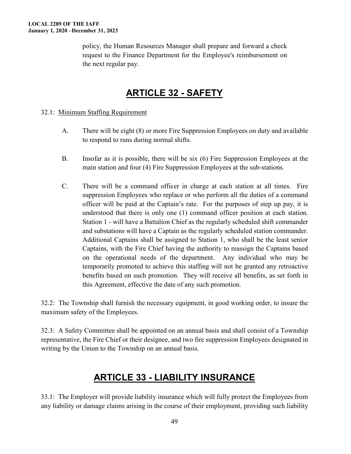policy, the Human Resources Manager shall prepare and forward a check request to the Finance Department for the Employee's reimbursement on the next regular pay.

### **ARTICLE 32 - SAFETY**

#### <span id="page-48-0"></span>32.1: Minimum Staffing Requirement

- A. There will be eight (8) or more Fire Suppression Employees on duty and available to respond to runs during normal shifts.
- B. Insofar as it is possible, there will be six (6) Fire Suppression Employees at the main station and four (4) Fire Suppression Employees at the sub-stations.
- C. There will be a command officer in charge at each station at all times. Fire suppression Employees who replace or who perform all the duties of a command officer will be paid at the Captain's rate. For the purposes of step up pay, it is understood that there is only one (1) command officer position at each station. Station 1 - will have a Battalion Chief as the regularly scheduled shift commander and substations will have a Captain as the regularly scheduled station commander. Additional Captains shall be assigned to Station 1, who shall be the least senior Captains, with the Fire Chief having the authority to reassign the Captains based on the operational needs of the department. Any individual who may be temporarily promoted to achieve this staffing will not be granted any retroactive benefits based on such promotion. They will receive all benefits, as set forth in this Agreement, effective the date of any such promotion.

32.2: The Township shall furnish the necessary equipment, in good working order, to insure the maximum safety of the Employees.

32.3: A Safety Committee shall be appointed on an annual basis and shall consist of a Township representative, the Fire Chief or their designee, and two fire suppression Employees designated in writing by the Union to the Township on an annual basis.

#### **ARTICLE 33 - LIABILITY INSURANCE**

<span id="page-48-1"></span>33.1: The Employer will provide liability insurance which will fully protect the Employees from any liability or damage claims arising in the course of their employment, providing such liability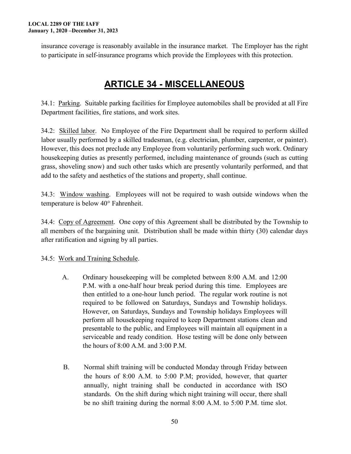insurance coverage is reasonably available in the insurance market. The Employer has the right to participate in self-insurance programs which provide the Employees with this protection.

### **ARTICLE 34 - MISCELLANEOUS**

<span id="page-49-0"></span>34.1: Parking. Suitable parking facilities for Employee automobiles shall be provided at all Fire Department facilities, fire stations, and work sites.

34.2: Skilled labor. No Employee of the Fire Department shall be required to perform skilled labor usually performed by a skilled tradesman, (e.g. electrician, plumber, carpenter, or painter). However, this does not preclude any Employee from voluntarily performing such work. Ordinary housekeeping duties as presently performed, including maintenance of grounds (such as cutting grass, shoveling snow) and such other tasks which are presently voluntarily performed, and that add to the safety and aesthetics of the stations and property, shall continue.

34.3: Window washing. Employees will not be required to wash outside windows when the temperature is below 40° Fahrenheit.

34.4: Copy of Agreement. One copy of this Agreement shall be distributed by the Township to all members of the bargaining unit. Distribution shall be made within thirty (30) calendar days after ratification and signing by all parties.

34.5: Work and Training Schedule.

- A. Ordinary housekeeping will be completed between 8:00 A.M. and 12:00 P.M. with a one-half hour break period during this time. Employees are then entitled to a one-hour lunch period. The regular work routine is not required to be followed on Saturdays, Sundays and Township holidays. However, on Saturdays, Sundays and Township holidays Employees will perform all housekeeping required to keep Department stations clean and presentable to the public, and Employees will maintain all equipment in a serviceable and ready condition. Hose testing will be done only between the hours of 8:00 A.M. and 3:00 P.M.
- B. Normal shift training will be conducted Monday through Friday between the hours of 8:00 A.M. to 5:00 P.M; provided, however, that quarter annually, night training shall be conducted in accordance with ISO standards. On the shift during which night training will occur, there shall be no shift training during the normal 8:00 A.M. to 5:00 P.M. time slot.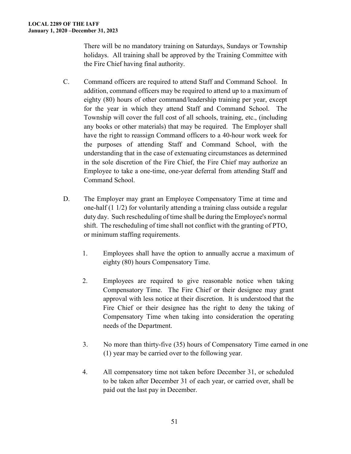There will be no mandatory training on Saturdays, Sundays or Township holidays. All training shall be approved by the Training Committee with the Fire Chief having final authority.

- C. Command officers are required to attend Staff and Command School. In addition, command officers may be required to attend up to a maximum of eighty (80) hours of other command/leadership training per year, except for the year in which they attend Staff and Command School. The Township will cover the full cost of all schools, training, etc., (including any books or other materials) that may be required. The Employer shall have the right to reassign Command officers to a 40-hour work week for the purposes of attending Staff and Command School, with the understanding that in the case of extenuating circumstances as determined in the sole discretion of the Fire Chief, the Fire Chief may authorize an Employee to take a one-time, one-year deferral from attending Staff and Command School.
- D. The Employer may grant an Employee Compensatory Time at time and one-half (1 1/2) for voluntarily attending a training class outside a regular duty day. Such rescheduling of time shall be during the Employee's normal shift. The rescheduling of time shall not conflict with the granting of PTO, or minimum staffing requirements.
	- 1. Employees shall have the option to annually accrue a maximum of eighty (80) hours Compensatory Time.
	- 2. Employees are required to give reasonable notice when taking Compensatory Time. The Fire Chief or their designee may grant approval with less notice at their discretion. It is understood that the Fire Chief or their designee has the right to deny the taking of Compensatory Time when taking into consideration the operating needs of the Department.
	- 3. No more than thirty-five (35) hours of Compensatory Time earned in one (1) year may be carried over to the following year.
	- 4. All compensatory time not taken before December 31, or scheduled to be taken after December 31 of each year, or carried over, shall be paid out the last pay in December.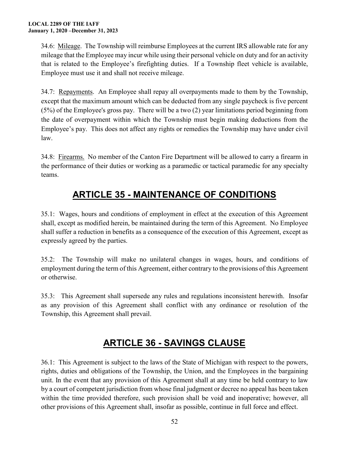34.6: Mileage. The Township will reimburse Employees at the current IRS allowable rate for any mileage that the Employee may incur while using their personal vehicle on duty and for an activity that is related to the Employee's firefighting duties. If a Township fleet vehicle is available, Employee must use it and shall not receive mileage.

34.7: Repayments. An Employee shall repay all overpayments made to them by the Township, except that the maximum amount which can be deducted from any single paycheck is five percent (5%) of the Employee's gross pay. There will be a two (2) year limitations period beginning from the date of overpayment within which the Township must begin making deductions from the Employee's pay. This does not affect any rights or remedies the Township may have under civil law.

34.8: Firearms. No member of the Canton Fire Department will be allowed to carry a firearm in the performance of their duties or working as a paramedic or tactical paramedic for any specialty teams.

### **ARTICLE 35 - MAINTENANCE OF CONDITIONS**

<span id="page-51-0"></span>35.1: Wages, hours and conditions of employment in effect at the execution of this Agreement shall, except as modified herein, be maintained during the term of this Agreement. No Employee shall suffer a reduction in benefits as a consequence of the execution of this Agreement, except as expressly agreed by the parties.

35.2: The Township will make no unilateral changes in wages, hours, and conditions of employment during the term of this Agreement, either contrary to the provisions of this Agreement or otherwise.

35.3: This Agreement shall supersede any rules and regulations inconsistent herewith. Insofar as any provision of this Agreement shall conflict with any ordinance or resolution of the Township, this Agreement shall prevail.

# **ARTICLE 36 - SAVINGS CLAUSE**

<span id="page-51-1"></span>36.1: This Agreement is subject to the laws of the State of Michigan with respect to the powers, rights, duties and obligations of the Township, the Union, and the Employees in the bargaining unit. In the event that any provision of this Agreement shall at any time be held contrary to law by a court of competent jurisdiction from whose final judgment or decree no appeal has been taken within the time provided therefore, such provision shall be void and inoperative; however, all other provisions of this Agreement shall, insofar as possible, continue in full force and effect.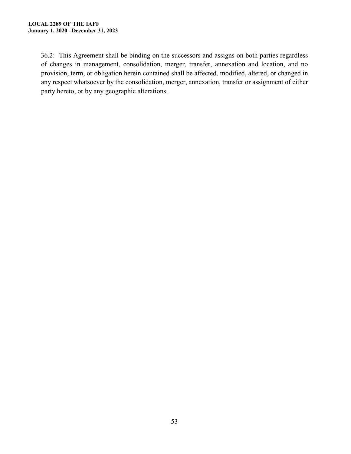36.2: This Agreement shall be binding on the successors and assigns on both parties regardless of changes in management, consolidation, merger, transfer, annexation and location, and no provision, term, or obligation herein contained shall be affected, modified, altered, or changed in any respect whatsoever by the consolidation, merger, annexation, transfer or assignment of either party hereto, or by any geographic alterations.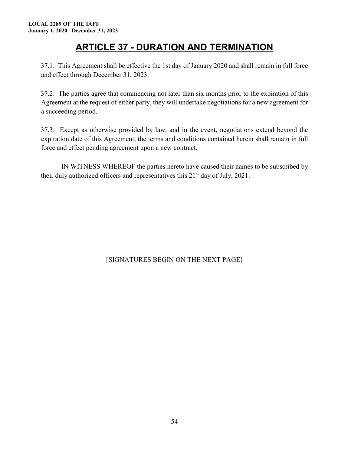### **ARTICLE 37 - DURATION AND TERMINATION**

<span id="page-53-0"></span>37.1: This Agreement shall be effective the 1st day of January 2020 and shall remain in full force and effect through December 31, 2023.

37.2: The parties agree that commencing not later than six months prior to the expiration of this Agreement at the request of either party, they will undertake negotiations for a new agreement for a succeeding period.

37.3: Except as otherwise provided by law, and in the event, negotiations extend beyond the expiration date of this Agreement, the terms and conditions contained herein shall remain in full force and effect pending agreement upon a new contract.

IN WITNESS WHEREOF the parties hereto have caused their names to be subscribed by their duly authorized officers and representatives this  $21<sup>st</sup>$  day of July, 2021.

#### [SIGNATURES BEGIN ON THE NEXT PAGE]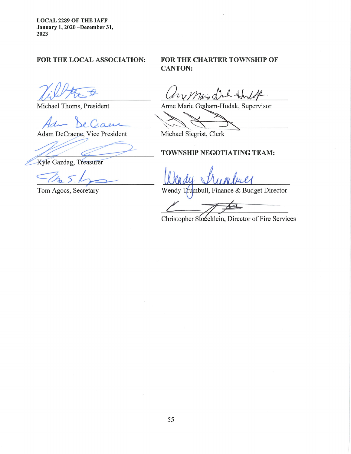**LOCAL 2289 OF THE IAFF** January 1, 2020 -December 31, 2023

#### FOR THE LOCAL ASSOCIATION:

Michael Thoms, President

Adam DeCraene, Vice President

Kyle Gazdag, Treasurer

Tom Agocs, Secretary

#### FOR THE CHARTER TOWNSHIP OF **CANTON:**

My Marie Dr  $L + h$ 

Anne Marie Graham-Hudak, Supervisor

Michael Siegrist, Clerk

#### TOWNSHIP NEGOTIATING TEAM:

Wendy Trumbull, Finance & Budget Director

Christopher Stoecklein, Director of Fire Services